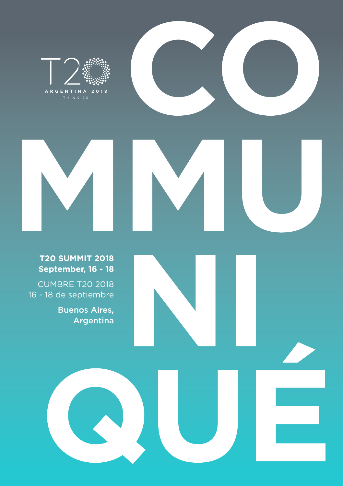







**T20 SUMMIT 2018 September, 16 - 18**

CUMBRE T20 2018 16 - 18 de septiembre

> Buenos Aires, Argentina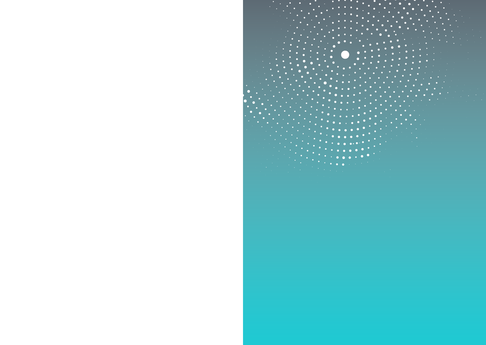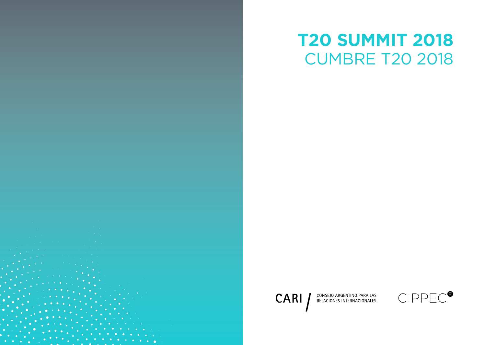# **T20 SUMMIT 2018** CUMBRE T20 2018



CONSEJO ARGENTINO PARA LAS<br>RELACIONES INTERNACIONALES

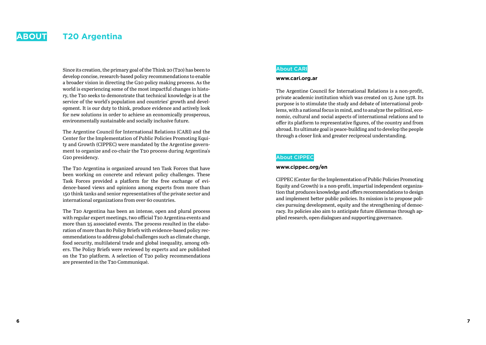# **T20 Argentina**

Since its creation, the primary goal of the Think 20 (T20) has been to develop concise, research-based policy recommendations to enable a broader vision in directing the G20 policy making process. As the world is experiencing some of the most impactful changes in history, the T20 seeks to demonstrate that technical knowledge is at the service of the world's population and countries' growth and development. It is our duty to think, produce evidence and actively look for new solutions in order to achieve an economically prosperous, environmentally sustainable and socially inclusive future.

The Argentine Council for International Relations (CARI) and the Center for the Implementation of Public Policies Promoting Equity and Growth (CIPPEC) were mandated by the Argentine government to organize and co-chair the T20 process during Argentina's G20 presidency.

The T20 Argentina is organized around ten Task Forces that have been working on concrete and relevant policy challenges. These Task Forces provided a platform for the free exchange of evidence-based views and opinions among experts from more than 150 think tanks and senior representatives of the private sector and international organizations from over 60 countries.

The T20 Argentina has been an intense, open and plural process with regular expert meetings, two official T20 Argentina events and more than 25 associated events. The process resulted in the elaboration of more than 80 Policy Briefs with evidence-based policy recommendations to address global challenges such as climate change, food security, multilateral trade and global inequality, among others. The Policy Briefs were reviewed by experts and are published on the T20 platform. A selection of T20 policy recommendations are presented in the T20 Communiqué.

# About CARI

### **www.cari.org.ar**

The Argentine Council for International Relations is a non-profit, private academic institution which was created on 15 June 1978. Its purpose is to stimulate the study and debate of international problems, with a national focus in mind, and to analyze the political, economic, cultural and social aspects of international relations and to offer its platform to representative figures, of the country and from abroad. Its ultimate goal is peace-building and to develop the people through a closer link and greater reciprocal understanding.

# About CIPPEC

## **www.cippec.org/en**

CIPPEC (Center for the Implementation of Public Policies Promoting Equity and Growth) is a non-profit, impartial independent organization that produces knowledge and offers recommendations to design and implement better public policies. Its mission is to propose policies pursuing development, equity and the strengthening of democracy. Its policies also aim to anticipate future dilemmas through applied research, open dialogues and supporting governance.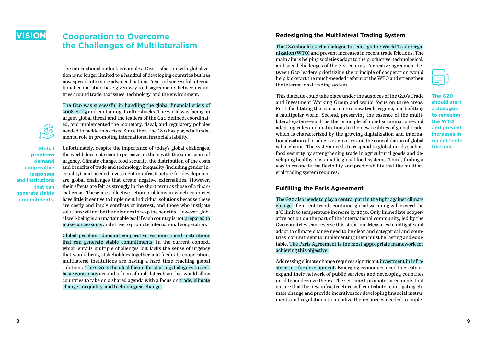

# **Cooperation to Overcome the Challenges of Multilateralism**

The international outlook is complex. Dissatisfaction with globalization is no longer limited to a handful of developing countries but has now spread into more advanced nations. Years of successful international cooperation have given way to disagreements between countries around trade, tax issues, technology, and the environment.

The G20 was successful in handling the global financial crisis of 2008–2009 and containing its aftershocks. The world was facing an urgent global threat and the leaders of the G20 defined, coordinated, and implemented the monetary, fiscal, and regulatory policies needed to tackle this crisis. Since then, the G20 has played a fundamental role in promoting international financial stability.

**Global problems demand cooperative responses and institutions that can generate stable commitments.**

**ROS** 

Unfortunately, despite the importance of today's global challenges, the world does not seem to perceive on them with the same sense of urgency. Climate change, food security, the distribution of the costs and benefits of trade and technology, inequality (including gender inequality), and needed investment in infrastructure for development are global challenges that create negative externalities. However, their effects are felt as strongly in the short term as those of a financial crisis. These are collective action problems in which countries have little incentive to implement individual solutions because these are costly and imply conflicts of interest, and those who instigate solutions will not be the only ones to reap the benefits. However, global well-being is an unattainable goal if each country is not prepared to make concessions and strive to promote international cooperation.

Global problems demand cooperative responses and institutions that can generate stable commitments. In the current context, which entails multiple challenges but lacks the sense of urgency that would bring stakeholders together and facilitate cooperation, multilateral institutions are having a hard time reaching global solutions. The G20 is the ideal forum for starting dialogues to seek basic consensus around a form of multilateralism that would allow countries to take on a shared agenda with a focus on trade, climate change, inequality, and technological change.

# **Redesigning the Multilateral Trading System**

### The G20 should start a dialogue to redesign the World Trade Orga-

nization (WTO) and prevent increases in recent trade frictions. The main aim is helping societies adapt to the productive, technological, and social challenges of the 21st century. A creative agreement between G20 leaders prioritizing the principle of cooperation would help kickstart the much-needed reform of the WTO and strengthen the international trading system.



This dialogue could take place under the auspices of the G20's Trade and Investment Working Group and would focus on three areas. First, facilitating the transition to a new trade regime, one befitting a multipolar world. Second, preserving the essence of the multilateral system—such as the principle of nondiscrimination—and adapting rules and institutions to the new realities of global trade, which is characterized by the growing digitalization and internationalization of productive activities and the consolidation of global value chains. The system needs to respond to global needs such as food security by strengthening trade in agricultural goods and developing healthy, sustainable global food systems. Third, finding a way to reconcile the flexibility and predictability that the multilateral trading system requires.

# **The G20 should start a dialogue to redesing the WTO and prevent increases in recent trade frictions.**

# **Fulfilling the Paris Agreement**

The G20 also needs to play a central part in the fight against climate change. If current trends continue, global warming will exceed the 2°C limit to temperature increase by 2050. Only immediate cooperative action on the part of the international community, led by the G20 countries, can reverse this situation. Measures to mitigate and adapt to climate change need to be clear and categorical and countries' commitment to implementing them must be lasting and equitable. The Paris Agreement is the most appropriate framework for achieving this objective.

Addressing climate change requires significant investment in infrastructure for development**.** Emerging economies need to create or expand their network of public services and developing countries need to modernize theirs. The G20 must promote agreements that ensure that the new infrastructure will contribute to mitigating climate change and provide incentives for developing financial instruments and regulations to mobilize the resources needed to imple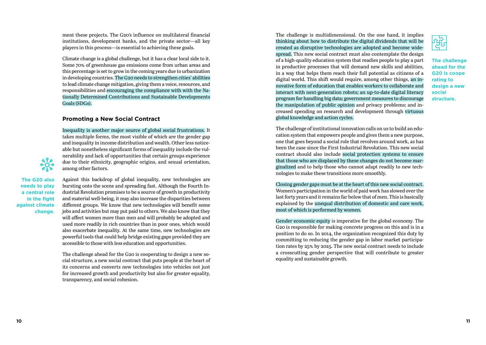ment these projects. The G20's influence on multilateral financial institutions, development banks, and the private sector—all key players in this process—is essential to achieving these goals.

Climate change is a global challenge, but it has a clear local side to it. Some 70% of greenhouse gas emissions come from urban areas and this percentage is set to grow in the coming years due to urbanization in developing countries. The G20 needs to strengthen cities' abilities to lead climate change mitigation, giving them a voice, resources, and responsibilities and encouraging the compliance with with the Nationally Determined Contributions and Sustainable Developments Goals (SDGs).

# **Promoting a New Social Contract**

Inequality is another major source of global social frustrations. It takes multiple forms, the most visible of which are the gender gap and inequality in income distribution and wealth. Other less noticeable but nonetheless significant forms of inequality include the vulnerability and lack of opportunities that certain groups experience due to their ethnicity, geographic origins, and sexual orientation, among other factors.

**The G20 also needs to play a central role in the fight against climate change.** 

 $\frac{a_0^{\alpha}}{b_0^{\alpha}}$ 

Against this backdrop of global inequality, new technologies are bursting onto the scene and spreading fast. Although the Fourth Industrial Revolution promises to be a source of growth in productivity and material well-being, it may also increase the disparities between different groups. We know that new technologies will benefit some jobs and activities but may put paid to others. We also know that they will affect women more than men and will probably be adopted and used more readily in rich countries than in poor ones, which would also exacerbate inequality. At the same time, new technologies are powerful tools that could help bridge existing gaps provided they are accessible to those with less education and opportunities.

The challenge ahead for the G20 is cooperating to design a new social structure, a new social contract that puts people at the heart of its concerns and converts new technologies into vehicles not just for increased growth and productivity but also for greater equality, transparency, and social cohesion.

The challenge is multidimensional. On the one hand, it implies thinking about how to distribute the digital dividends that will be created as disruptive technologies are adopted and become widespread. This new social contract must also contemplate the design of a high-quality education system that readies people to play a part in productive processes that will demand new skills and abilities, in a way that helps them reach their full potential as citizens of a digital world. This shift would require, among other things, an innovative form of education that enables workers to collaborate and interact with next-generation robots; an up-to-date digital literacy program for handling big data; government measures to discourage the manipulation of public opinion and privacy problems; and increased spending on research and development through virtuous global knowledge and action cycles.



**The challenge ahead for the G20 is coope rating to design a new social structure.**

The challenge of institutional innovation calls on us to build an education system that empowers people and gives them a new purpose, one that goes beyond a social role that revolves around work, as has been the case since the First Industrial Revolution. This new social contract should also include social protection systems to ensure that those who are displaced by these changes do not become marginalized and to help those who cannot adapt readily to new technologies to make these transitions more smoothly.

Closing gender gaps must be at the heart of this new social contract. Women's participation in the world of paid work has slowed over the last forty years and it remains far below that of men. This is basically explained by the unequal distribution of domestic and care work, most of which is performed by women.

Gender economic equity is imperative for the global economy. The G20 is responsible for making concrete progress on this and is in a position to do so. In 2014, the organization recognized this duty by committing to reducing the gender gap in labor market participation rates by 25% by 2025. The new social contract needs to include a crosscutting gender perspective that will contribute to greater equality and sustainable growth.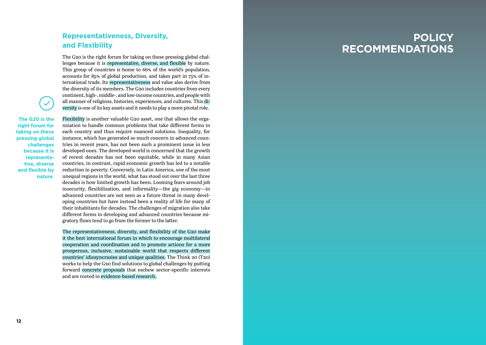# **Representativeness, Diversity, and Flexibility**

The G20 is the right forum for taking on these pressing global challenges because it is representative, diverse, and flexible by nature. This group of countries is home to 66% of the world's population, accounts for 85% of global production, and takes part in 75% of international trade. Its representativeness and value also derive from the diversity of its members. The G20 includes countries from every continent, high-, middle-, and low-income countries, and people with all manner of religions, histories, experiences, and cultures. This diversity is one of its key assets and it needs to play a more pivotal role.

**The G20 is the right forum for taking on these pressing global challenges because it is representative, diverse and flexible by nature.** 

 $\checkmark$ 

Flexibility is another valuable G20 asset, one that allows the organization to handle common problems that take different forms in each country and thus require nuanced solutions. Inequality, for instance, which has generated so much concern in advanced countries in recent years, has not been such a prominent issue in less developed ones. The developed world is concerned that the growth of recent decades has not been equitable, while in many Asian countries, in contrast, rapid economic growth has led to a notable reduction in poverty. Conversely, in Latin America, one of the most unequal regions in the world, what has stood out over the last three decades is how limited growth has been. Looming fears around job insecurity, flexibilization, and informality—the gig economy—in advanced countries are not seen as a future threat in many developing countries but have instead been a reality of life for many of their inhabitants for decades. The challenges of migration also take different forms in developing and advanced countries because migratory flows tend to go from the former to the latter.

The representativeness, diversity, and flexibility of the G20 make it the best international forum in which to encourage multilateral cooperation and coordination and to promote actions for a more prosperous, inclusive, sustainable world that respects different countries' idiosyncrasies and unique qualities. The Think 20 (T20) works to help the G20 find solutions to global challenges by putting forward concrete proposals that eschew sector-specific interests and are rooted in evidence-based research.

# **POLICY RECOMMENDATIONS**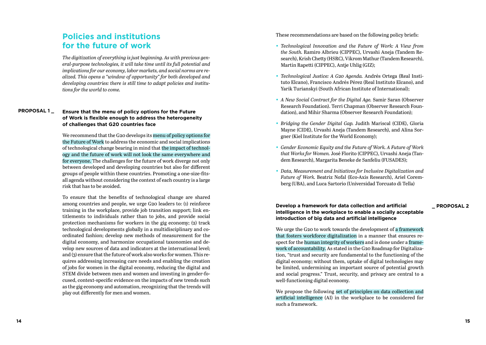# **Policies and institutions for the future of work**

*The digitization of everything is just beginning. As with previous general-purpose technologies, it will take time until its full potential and implications for our economy, labor markets, and social norms are realized. This opens a "window of opportunity" for both developed and developing countries: there is still time to adapt policies and institutions for the world to come.* 

#### **Ensure that the menu of policy options for the Future of Work is flexible enough to address the heterogeneity of challenges that G20 countries face PROPOSAL 1 \_**

We recommend that the G20 develops its menu of policy options for the Future of Work to address the economic and social implications of technological change bearing in mind that the impact of technology and the future of work will not look the same everywhere and for everyone. The challenges for the future of work diverge not only between developed and developing countries but also for different groups of people within these countries. Promoting a one-size-fitsall agenda without considering the context of each country is a large risk that has to be avoided.

To ensure that the benefits of technological change are shared among countries and people, we urge G20 leaders to: (1) reinforce training in the workplace, provide job transition support; link entitlements to individuals rather than to jobs, and provide social protection mechanisms for workers in the gig economy; (2) track technological developments globally in a multidisciplinary and coordinated fashion; develop new methods of measurement for the digital economy, and harmonize occupational taxonomies and develop new sources of data and indicators at the international level; and (3) ensure that the future of work also works for women. This requires addressing increasing care needs and enabling the creation of jobs for women in the digital economy, reducing the digital and STEM divide between men and women and investing in gender-focused, context-specific evidence on the impacts of new trends such as the gig economy and automation, recognizing that the trends will play out differently for men and women.

These recommendations are based on the following policy briefs:

- **•** *Technological Innovation and the Future of Work: A View from the South.* Ramiro Albrieu (CIPPEC), Urvashi Aneja (Tandem Research), Krish Chetty (HSRC), Vikrom Mathur (Tandem Research), Martín Rapetti (CIPPEC), Antje Uhlig (GIZ);
- **•** *Technological Justice: A G20 Agenda.* Andrés Ortega (Real Instituto Elcano), Francisco Andrés Pérez (Real Instituto Elcano), and Yarik Turianskyi (South African Institute of International);
- **•** *A New Social Contract for the Digital Age.* Samir Saran (Observer Research Foundation). Terri Chapman (Observer Research Foundation), and Mihir Sharma (Observer Research Foundation);
- **•** *Bridging the Gender Digital Gap.* Judith Mariscal (CIDE), Gloria Mayne (CIDE), Urvashi Aneja (Tandem Research), and Alina Sorgner (Kiel Institute for the World Economy);
- **•** *Gender Economic Equity and the Future of Work. A Future of Work that Works for Women.* José Florito (CIPPEC), Urvashi Aneja (Tandem Research), Margarita Beneke de Sanfeliu (FUSADES);
- **•** *Data, Measurement and Initiatives for Inclusive Digitalization and Future of Work.* Beatriz Nofal (Eco-Axis Research), Ariel Coremberg (UBA), and Luca Sartorio (Universidad Torcuato di Tella)

## **Develop a framework for data collection and artificial intelligence in the workplace to enable a socially acceptable introduction of big data and artificial intelligence**

#### **\_ PROPOSAL 2**

We urge the G20 to work towards the development of a framework that fosters workforce digitalization in a manner that ensures respect for the human integrity of workers and is done under a framework of accountability. As stated in the G20 Roadmap for Digitalization, "trust and security are fundamental to the functioning of the digital economy; without them, uptake of digital technologies may be limited, undermining an important source of potential growth and social progress." Trust, security, and privacy are central to a well-functioning digital economy.

We propose the following set of principles on data collection and artificial intelligence (AI) in the workplace to be considered for such a framework.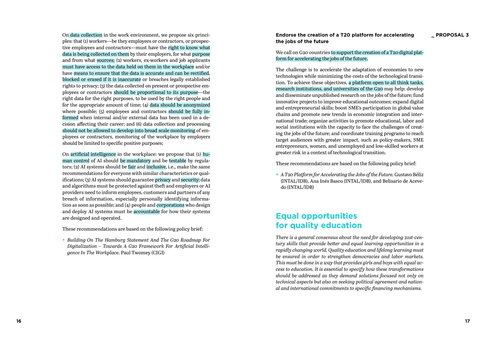On data collection in the work environment, we propose six princi ples: that (1) workers—be they employees or contractors, or prospec tive employees and contractors—must have the right to know what data is being collected on them by their employers, for what purpose and from what sources; (2) workers, ex-workers and job applicants must have access to the data held on them in the workplace and/or have means to ensure that the data is accurate and can be rectified, blocked or erased if it is inaccurate or breaches legally established rights to privacy; (3) the data collected on present or prospective em ployees or contractors should be proportional to its purpose—the right data for the right purposes, to be used by the right people and for the appropriate amount of time; (4) data should be anonymized where possible; (5) employees and contractors should be fully in formed when internal and/or external data has been used in a de cision affecting their career; and (6) data collection and processing should not be allowed to develop into broad scale monitoring of em ployees or contractors, monitoring of the workplace by employers should be limited to specific positive purposes;

On artificial intelligence in the workplace: we propose that (1) human control of AI should be mandatory and be testable by regula tors; (2) AI systems should be fair and inclusive, i.e., make the same recommendations for everyone with similar characteristics or qual ifications; (3) AI systems should guarantee privacy and security: data and algorithms must be protected against theft and employers or AI providers need to inform employees, customers and partners of any breach of information, especially personally identifying informa tion as soon as possible; and (4) people and corporations who design and deploy AI systems must be accountable for how their systems are designed and operated.

These recommendations are based on the following policy brief:

**•** *Building On The Hamburg Statement And The G20 Roadmap For Digitalization – Towards A G20 Framework For Artificial Intelli gence In The Workplace.* Paul Twomey (CIGI)

### **Endorse the creation of a T20 platform for accelerating the jobs of the future**

### We call on G20 countries to support the creation of a T20 digital plat form for accelerating the jobs of the future.

The challenge is to accelerate the adaptation of economies to new technologies while minimizing the costs of the technological transi tion. To achieve these objectives, a platform open to all think tanks, research institutions, and universities of the G20 may help: develop and disseminate unpublished research on the jobs of the future; fund innovative projects to improve educational outcomes; expand digital and entrepreneurial skills; boost SME's participation in global value chains and promote new trends in economic integration and inter national trade; organize activities to promote educational, labor and social institutions with the capacity to face the challenges of creat ing the jobs of the future; and coordinate training programs to reach target audiences with greater impact, such as policy-makers, SME entrepreneurs, women, and unemployed and low-skilled workers at greater risk in a context of technological transition.

These recommendations are based on the following policy brief:

**•** *A T20 Platform for Accelerating the Jobs of the Future.* Gustavo Béliz (INTAL/IDB), Ana Inés Basco (INTAL/IDB), and Belisario de Aceve do (INTAL/IDB)

# **Equal opportunities for quality education**

*There is a general consensus about the need for developing 21st-cen tury skills that provide better and equal learning opportunities in a rapidly changing world. Quality education and lifelong learning must be ensured in order to strengthen democracies and labor markets. This must be done in a way that provides girls and boys with equal ac cess to education. It is essential to specify how these transformations should be addressed as they demand solutions focused not only on technical aspects but also on seeking political agreement and nation al and international commitments to specific financing mechanisms.*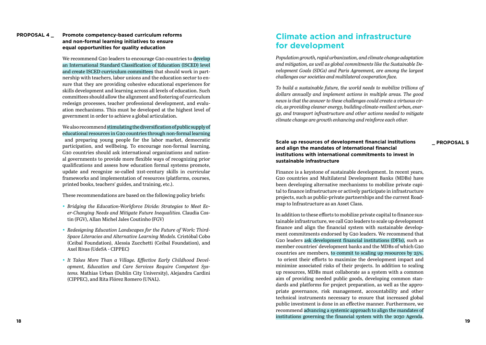#### **Promote competency-based curriculum reforms and non-formal learning initiatives to ensure equal opportunities for quality education PROPOSAL 4** Promote competency-based curriculum reforms **Climate action and infrastructure**

We recommend G20 leaders to encourage G20 countries to develop an International Standard Classification of Education (ISCED) level and create ISCED curriculum committees that should work in partnership with teachers, labor unions and the education sector to ensure that they are providing cohesive educational experiences for skills development and learning across all levels of education. Such committees should allow the alignment and fostering of curriculum redesign processes, teacher professional development, and evaluation mechanisms. This must be developed at the highest level of government in order to achieve a global articulation.

We also recommend stimulating the diversification of public supply of educational resources in G20 countries through non-formal learning and preparing young people for the labor market, democratic participation, and wellbeing. To encourage non-formal learning, G20 countries should ask international organizations and national governments to provide more flexible ways of recognizing prior qualifications and assess how education formal systems promote, update and recognize so-called 21st-century skills in curricular frameworks and implementation of resources (platforms, courses, printed books, teachers' guides, and training, etc.).

These recommendations are based on the following policy briefs:

- **•** *Bridging the Education-Workforce Divide: Strategies to Meet Ever-Changing Needs and Mitigate Future Inequalities.* Claudia Costin (FGV), Allan Michel Jales Coutinho (FGV)
- **•** *Redesigning Education Landscapes for the Future of Work: Third-Space Literacies and Alternative Learning Models.* Cristóbal Cobo (Ceibal Foundation), Alessia Zucchetti (Ceibal Foundation), and Axel Rivas (UdeSA - CIPPEC)
- **•** *It Takes More Than a Village. Effective Early Childhood Development, Education and Care Services Require Competent Systems.* Mathias Urban (Dublin City University), Alejandra Cardini (CIPPEC), and Rita Flórez Romero (UNAL).

# **for development**

*Population growth, rapid urbanization, and climate change adaptation and mitigation, as well as global commitments like the Sustainable Development Goals (SDGs) and Paris Agreement, are among the largest challenges our societies and multilateral cooperation face.*

*To build a sustainable future, the world needs to mobilize trillions of dollars annually and implement actions in multiple areas. The good news is that the answer to these challenges could create a virtuous circle, as providing cleaner energy, building climate-resilient urban, energy, and transport infrastructure and other actions needed to mitigate climate change are growth enhancing and reinforce each other.*

# **Scale up resources of development financial institutions and align the mandates of international financial institutions with international commitments to invest in sustainable infrastructure**

Finance is a keystone of sustainable development. In recent years, G20 countries and Multilateral Development Banks (MDBs) have been developing alternative mechanisms to mobilize private capital to finance infrastructure or actively participate in infrastructure projects, such as public-private partnerships and the current Roadmap to Infrastructure as an Asset Class.

In addition to these efforts to mobilize private capital to finance sustainable infrastructure, we call G20 leaders to scale up development finance and align the financial system with sustainable development commitments endorsed by G20 leaders. We recommend that G20 leaders ask development financial institutions (DFIs), such as member countries' development banks and the MDBs of which G20 countries are members, to commit to scaling up resources by 25%, to orient their efforts to maximize the development impact and minimize associated risks of their projects. In addition to scaling up resources, MDBs must collaborate as a system with a common aim of providing needed public goods, developing common standards and platforms for project preparation, as well as the appropriate governance, risk management, accountability and other technical instruments necessary to ensure that increased global public investment is done in an effective manner. Furthermore, we recommend advancing a systemic approach to align the mandates of institutions governing the financial system with the 2030 Agenda,

**\_ PROPOSAL 5**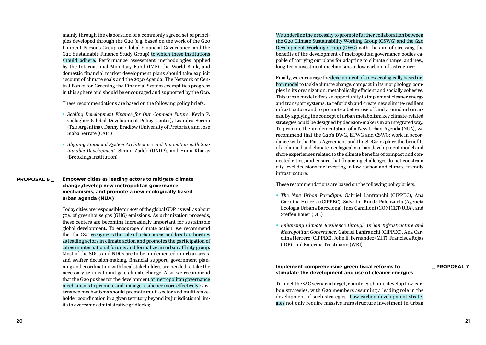mainly through the elaboration of a commonly agreed set of principles developed through the G20 (e.g. based on the work of the G20 Eminent Persons Group on Global Financial Governance, and the G20 Sustainable Finance Study Group) to which these institutions should adhere. Performance assessment methodologies applied by the International Monetary Fund (IMF), the World Bank, and domestic financial market development plans should take explicit account of climate goals and the 2030 Agenda. The Network of Central Banks for Greening the Financial System exemplifies progress in this sphere and should be encouraged and supported by the G20.

These recommendations are based on the following policy briefs:

- **•** *Scaling Development Finance for Our Common Future.* Kevin P. Gallagher (Global Development Policy Center), Leandro Serino (T20 Argentina), Danny Bradlow (University of Pretoria), and José Siaba Serrate (CARI)
- **•** *Aligning Financial System Architecture and Innovation with Sustainable Development.* Simon Zadek (UNDP), and Homi Kharas (Brookings Institution)

#### **Empower cities as leading actors to mitigate climate change,develop new metropolitan governance mechanisms, and promote a new ecologically based urban agenda (NUA) PROPOSAL 6 \_**

Today cities are responsible for 80% of the global GDP, as well as about 70% of greenhouse gas (GHG) emissions. As urbanization proceeds, these centers are becoming increasingly important for sustainable global development. To encourage climate action, we recommend that the G20 recognizes the role of urban areas and local authorities as leading actors in climate action and promotes the participation of cities in international forums and formalize an urban affinity group. Most of the SDGs and NDCs are to be implemented in urban areas, and swifter decision-making, financial support, government planning and coordination with local stakeholders are needed to take the necessary actions to mitigate climate change. Also, we recommend that the G20 pushes for the development of metropolitan governance mechanisms to promote and manage resilience more effectively. Governance mechanisms should promote multi-sector and multi-stakeholder coordination in a given territory beyond its jurisdictional limits to overcome administrative gridlocks;

We underline the necessity to promote further collaboration between the G20 Climate Sustainability Working Group (CSWG) and the G20 Development Working Group (DWG) with the aim of stressing the benefits of the development of metropolitan governance bodies capable of carrying out plans for adapting to climate change, and new, long-term investment mechanisms in low-carbon infrastructure;

Finally, we encourage the development of a new ecologically based urban model to tackle climate change: compact in its morphology, complex in its organization, metabolically efficient and socially cohesive. This urban model offers an opportunity to implement cleaner energy and transport systems, to refurbish and create new climate-resilient infrastructure and to promote a better use of land around urban areas. By applying the concept of urban metabolism key climate-related strategies could be designed by decision-makers in an integrated way. To promote the implementation of a New Urban Agenda (NUA), we recommend that the G20's DWG, ETWG and CSWG: work in accordance with the Paris Agreement and the SDGs; explore the benefits of a planned and climate–ecologically urban development model and share experiences related to the climate benefits of compact and connected cities, and ensure that financing challenges do not constrain city-level decisions for investing in low-carbon and climate-friendly infrastructure.

These recommendations are based on the following policy briefs:

- **•** *The New Urban Paradigm.* Gabriel Lanfranchi (CIPPEC), Ana Carolina Herrero (CIPPEC), Salvador Rueda Palenzuela (Agencia Ecología Urbana Barcelona), Inés Camilloni (CONICET/UBA), and Steffen Bauer (DIE)
- **•** *Enhancing Climate Resilience through Urban Infrastructure and Metropolitan Governance.* Gabriel Lanfranchi (CIPPEC), Ana Carolina Herrero (CIPPEC), John E. Fernandez (MIT), Francisca Rojas (IDB), and Katerina Trostmann (WRI)

### **Implement comprehensive green fiscal reforms to stimulate the development and use of cleaner energies**

To meet the 2ºC scenario target, countries should develop low-carbon strategies, with G20 members assuming a leading role in the development of such strategies. Low-carbon development strategies not only require massive infrastructure investment in urban **\_ PROPOSAL 7**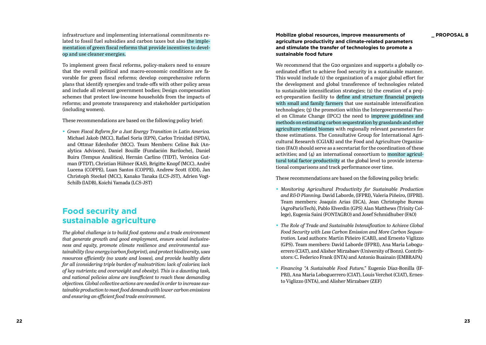infrastructure and implementing international commitments re lated to fossil fuel subsidies and carbon taxes but also the imple mentation of green fiscal reforms that provide incentives to devel op and use cleaner energies.

To implement green fiscal reforms, policy-makers need to ensure that the overall political and macro-economic conditions are fa vorable for green fiscal reforms; develop comprehensive reform plans that identify synergies and trade-offs with other policy areas and include all relevant government bodies; Design compensation schemes that protect low-income households from the impacts of reforms; and promote transparency and stakeholder participation (including women).

These recommendations are based on the following policy brief:

**•** *Green Fiscal Reform for a Just Energy Transition in Latin America.*  Michael Jakob (MCC), Rafael Soria (EPN), Carlos Trinidad (SPDA), and Ottmar Edenhofer (MCC). Team Members: Celine Bak (An alytica Advisors), Daniel Bouille (Fundación Bariloche), Daniel Buira (Tempus Analítica), Hernán Carlino (TIDT), Verónica Gut man (FTDT), Christian Hübner (KAS), Brigitte Knopf (MCC), André Lucena (COPPE), Luan Santos (COPPE), Andrew Scott (ODI), Jan Christoph Steckel (MCC), Kanako Tanaka (LCS-JST), Adrien Vogt-Schilb (IADB), Koichi Yamada (LCS-JST)

# **Food security and sustainable agriculture**

*The global challenge is to build food systems and a trade environment that generate growth and good employment, ensure social inclusive ness and equity, promote climate resilience and environmental sus tainability (low energy/carbon footprint), and protect biodiversity, uses resources efficiently (no waste and losses), and provide healthy diets for all (considering triple burden of malnutrition: lack of calories; lack of key nutrients; and overweight and obesity). This is a daunting task, and national policies alone are insufficient to reach these demanding objectives. Global collective actions are needed in order to increase sus tainable production to meet food demands with lower carbon emissions and ensuring an efficient food trade environment.*

**Mobilize global resources, improve measurements of agriculture productivity and climate-related parameters and stimulate the transfer of technologies to promote a sustainable food future** 

We recommend that the G20 organizes and supports a globally co ordinated effort to achieve food security in a sustainable manner. This would include (1) the organization of a major global effort for the development and global transference of technologies related to sustainable intensification strategies; (2) the creation of a proj ect-preparation facility to define and structure financial projects with small and family farmers that use sustainable intensification technologies; (3) the promotion within the Intergovernmental Pan el on Climate Change (IPCC) the need to improve guidelines and methods on estimating carbon sequestration by grasslands and other agriculture-related biomes with regionally relevant parameters for those estimations. The Consultative Group for International Agri cultural Research (CGIAR) and the Food and Agriculture Organiza tion (FAO) should serve as a secretariat for the coordination of these activities; and (4) an international consortium to monitor agricul tural total factor productivity at the global level to provide interna tional comparisons and track performance over time.

These recommendations are based on the following policy briefs:

- **•** *Monitoring Agricultural Productivity for Sustainable Production and R&D Planning.* David Laborde, (IFPRI), Valeria Piñeiro, (IFPRI). Team members: Joaquín Arias (IICA), Jean Christophe Bureau (AgroParisTech), Pablo Elverdin (GPS) Alan Matthews (Trinity Col lege), Eugenia Saini (FONTAGRO) and Josef Schmidhuber (FAO)
- **•** *The Role of Trade and Sustainable Intensification to Achieve Global Food Security with Less Carbon Emission and More Carbon Seques tration.* Lead authors: Martín Piñeiro (CARI), and Ernesto Viglizzo (GPS). Team members: David Laborde (IFPRI), Ana María Lobogu errero (CIAT), and Alisher Mirzabaev (University of Bonn). Contrib utors: C. Federico Frank (INTA) and Antonio Buainain (EMBRAPA)
- **•** *Financing "A Sustainable Food Future."* Eugenio Díaz-Bonilla (IF PRI), Ana María Loboguerrero (CIAT), Louis Verchot (CIAT), Ernes to Viglizzo (INTA), and Alisher Mirzabaev (ZEF)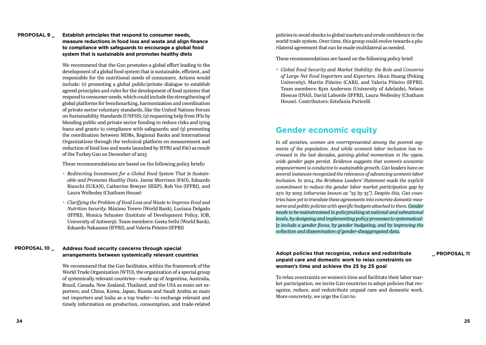#### **Establish principles that respond to consumer needs, measure reductions in food loss and waste and align finance to compliance with safeguards to encourage a global food system that is sustainable and promotes healthy diets PROPOSAL 9 \_**

We recommend that the G20 promotes a global effort leading to the development of a global food system that is sustainable, efficient, and responsible for the nutritional needs of consumers. Actions would include: (1) promoting a global public/private dialogue to establish agreed principles and rules for the development of food systems that respond to consumer needs, which could include the strengthening of global platforms for benchmarking, harmonization and coordination of private sector voluntary standards, like the United Nations Forum on Sustainability Standards (UNFSS); (2) requesting help from IFIs by blending public and private sector funding to reduce risks and tying loans and grants to compliance with safeguards; and (3) promoting the coordination between MDBs, Regional Banks and International Organizations through the technical platform on measurement and reduction of food loss and waste launched by IFPRI and FAO as result of the Turkey G20 on December of 2015

These recommendations are based on the following policy briefs:

- **•** *Redirecting Investment for a Global Food System That Is Sustainable and Promotes Healthy Diets.* Jamie Morrison (FAO), Eduardo Bianchi (IUEAN), Catherine Bowyer (IEEP), Rob Vos (IFPRI), and Laura Wellesley (Chatham House)
- **•** *Clarifying the Problem of Food Loss and Waste to Improve Food and Nutrition Security.* Máximo Torero (World Bank), Luciana Delgado (IFPRI), Monica Schuster (Institute of Development Policy, IOB, University of Antwerp). Team members: Geeta Sethi (World Bank), Eduardo Nakasone (IFPRI), and Valeria Piñeiro (IFPRI)

#### **Address food security concerns through special arrangements between systemically relevant countries PROPOSAL 10 \_**

We recommend that the G20 facilitates, within the framework of the World Trade Organization (WTO), the organization of a special group of systemically relevant countries—made up of Argentina, Australia, Brazil, Canada, New Zealand, Thailand, and the USA as main net exporters; and China, Korea, Japan, Russia and Saudi Arabia as main net importers and India as a top trader—to exchange relevant and timely information on production, consumption, and trade-related policies to avoid shocks to global markets and erode confidence in the world trade system. Over time, this group could evolve towards a plurilateral agreement that can be made multilateral as needed.

These recommendations are based on the following policy brief:

**•** *Global Food Security and Market Stability: the Role and Concerns of Large Net Food Importers and Exporters.* Jikun Huang (Peking University), Martín Piñeiro (CARI), and Valeria Piñeiro (IFPRI). Team members: Kym Anderson (University of Adelaide), Nelson Illescas (INAI), David Laborde (IFPRI), Laura Wellesley (Chatham House). Contributors: Estefanía Puricelli

# **Gender economic equity**

*In all societies, women are overrepresented among the poorest segments of the population. And while women's labor inclusion has increased in the last decades, gaining global momentum in the 1990s, wide gender gaps persist. Evidence suggests that women's economic empowerment is conducive to sustainable growth. G20 leaders have on several instances recognized the relevance of advancing women's labor inclusion. In 2014, the Brisbane Leaders' Statement made the explicit commitment to reduce the gender labor market participation gap by 25% by 2025 (otherwise known as "25 by 25"). Despite this, G20 countries have yet to translate these agreements into concrete domestic measures and public policies with specific budgets attached to them. Gender needs to be mainstreamed in policymaking at national and subnational levels, by designing and implementing policy processes to systematically include a gender focus, by gender budgeting, and by improving the collection and dissemination of gender-disaggregated data.*

## **Adopt policies that recognize, reduce and redistribute unpaid care and domestic work to relax constraints on women's time and achieve the 25 by 25 goal**

**\_ PROPOSAL 11**

To relax constraints on women's time and facilitate their labor market participation, we invite G20 countries to adopt policies that recognize, reduce, and redistribute unpaid care and domestic work. More concretely, we urge the G20 to: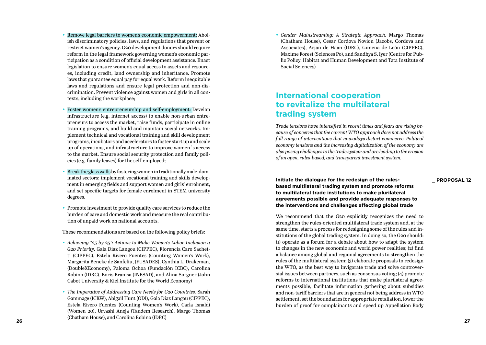- ish discriminatory policies, laws, and regulations that prevent or restrict women's agency. G20 development donors should require reform in the legal framework governing women's economic par ticipation as a condition of official development assistance. Enact legislation to ensure women's equal access to assets and resourc es, including credit, land ownership and inheritance. Promote laws that guarantee equal pay for equal work. Reform inequitable laws and regulations and ensure legal protection and non-dis crimination. Prevent violence against women and girls in all con texts, including the workplace;
- **•** Foster women's entrepreneurship and self-employment: Develop infrastructure (e.g. internet access) to enable non-urban entre preneurs to access the market, raise funds, participate in online training programs, and build and maintain social networks. Im plement technical and vocational training and skill development programs, incubators and accelerators to foster start up and scale up of operations, and infrastructure to improve women´s access to the market. Ensure social security protection and family poli cies (e.g. family leaves) for the self-employed;
- **•** Break the glass walls by fostering women in traditionally male-dom inated sectors; implement vocational training and skills develop ment in emerging fields and support women and girls' enrolment; and set specific targets for female enrolment in STEM university degrees.
- **•** Promote investment to provide quality care services to reduce the burden of care and domestic work and measure the real contribu tion of unpaid work on national accounts.

These recommendations are based on the following policy briefs:

- **•** *Achieving "25 by 25": Actions to Make Women's Labor Inclusion a G20 Priority.* Gala Díaz Langou (CIPPEC), Florencia Caro Sachet ti (CIPPEC), Estela Rivero Fuentes (Counting Women's Work), Margarita Beneke de Sanfeliu, (FUSADES), Cynthia L. Drakeman, (DoubleXEconomy), Paloma Ochoa (Fundación ICBC), Carolina Robino (IDRC), Boris Branisa (INESAD), and Alina Sorgner (John Cabot University & Kiel Institute for the World Economy)
- **•** *The Imperative of Addressing Care Needs for G20 Countries.* Sarah Gammage (ICRW), Abigail Hunt (ODI), Gala Díaz Langou (CIPPEC), Estela Rivero Fuentes (Counting Women's Work), Carla Isnaldi (Women 20), Urvashi Aneja (Tandem Research), Margo Thomas (Chatham House), and Carolina Robino (IDRC)

**•** *Gender Mainstreaming: A Strategic Approach.* Margo Thomas (Chatham House), Cesar Cordova Novion (Jacobs, Cordova and Associates), Arjan de Haan (IDRC), Gimena de León (CIPPEC), Maxime Forest (Sciences Po), and Sandhya S. Iyer (Centre for Pub lic Policy, Habitat and Human Development and Tata Institute of Social Sciences)

# **International cooperation to revitalize the multilateral trading system**

*Trade tensions have intensified in recent times and fears are rising be cause of concerns that the current WTO approach does not address the full range of interventions that nowadays distort commerce. Political economy tensions and the increasing digitalization of the economy are also posing challenges to the trade system and are leading to the erosion of an open, rules-based, and transparent investment system.*

**Initiate the dialogue for the redesign of the rulesbased multilateral trading system and promote reforms to multilateral trade institutions to make plurilateral agreements possible and provide adequate responses to the interventions and challenges affecting global trade**

**<sup>26</sup> <sup>27</sup> •** Remove legal barriers to women's economic empowerment: Abol-We recommend that the G20 explicitly recognizes the need to strengthen the rules-oriented multilateral trade system and, at the same time, starts a process for redesigning some of the rules and in stitutions of the global trading system. In doing so, the G20 should: (1) operate as a forum for a debate about how to adapt the system to changes in the new economic and world power realities; (2) find a balance among global and regional agreements to strengthen the rules of the multilateral system; (3) elaborate proposals to redesign the WTO, as the best way to invigorate trade and solve controver sial issues between partners, such as consensus voting; (4) promote reforms to international institutions that make plurilateral agree ments possible, facilitate information gathering about subsidies and non-tariff barriers that are in general not being address in WTO settlement, set the boundaries for appropriate retaliation, lower the burden of proof for complainants and speed up Appellation Body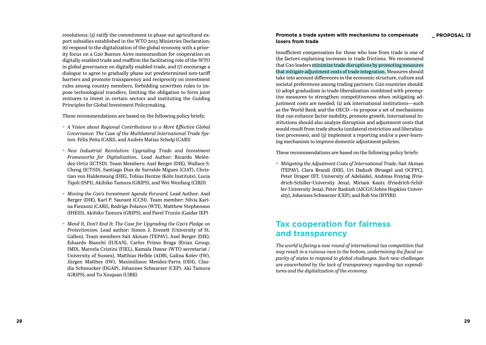resolutions; (5) ratify the commitment to phase out agricultural ex port subsidies established in the WTO 2015 Ministries Declaration; (6) respond to the digitalization of the global economy with a prior ity focus on a G20 Buenos Aires memorandum for cooperation on digitally enabled trade and reaffirm the facilitating role of the WTO in global governance on digitally enabled trade, and (7) encourage a dialogue to agree to gradually phase out predetermined non-tariff barriers and promote transparency and reciprocity on investment rules among country members, forbidding unwritten rules to im pose technological transfers, limiting the obligation to form joint ventures to invest in certain sectors and instituting the Guiding Principles for Global Investment Policymaking.

These recommendations are based on the following policy briefs:

- **•** *A Vision about Regional Contributions to a More Effective Global Governance: The Case of the Multilateral International Trade Sys tem.* Félix Peña (CARI), and Andrés Matias Schelp (CARI)
- **•** *New Industrial Revolution: Upgrading Trade and Investment Frameworks for Digitalization..* Lead Author: Ricardo Melén dez-Ortiz (ICTSD). Team Members: Axel Berger (DIE), Wallace S. Cheng (ICTSD), Santiago Díaz de Sarralde Miguez (CIAT), Chris tian von Haldenwang (DIE), Tobias Hentze (Köln Institute), Lucia Tajoli (ISPI), Akihiko Tamura (GRIPS), and Wei Wenfang (CIRD)
- **•** *Moving the G20's Investment Agenda Forward.* Lead Author: Axel Berger (DIE), Karl P. Sauvant (CCSI). Team member: Silvia Kari na Fiezzoni (CARI), Rodrigo Polanco (WTI), Matthew Stephenson (IHEID), Akihiko Tamura (GRIPS), and Pavel Trunin (Gaidar IEP)
- **•** *Mend It, Don't End It: The Case for Upgrading the G20's Pledge on Protectionism.* Lead author: Simon J. Evenett (University of St. Gallen), Team members Sait Akman (TEPAV), Axel Berger (DIE), Eduardo Bianchi (IUEAN), Carlos Primo Braga (Evian Group, IMD), Marcela Cristini (FIEL), Kamala Dawar (WTO secretariat / University of Sussex), Matthias Helble (ADB), Galina Kolev (IW), Jürgen Matthes (IW), Maximiliano Mendez-Parra (ODI), Clau dia Schmucker (DGAP), Johannes Schwarzer (CEP), Aki Tamura (GRIPS), and Tu Xinquan (UIBE)

#### **Promote a trade system with mechanisms to compensate losers from trade \_ PROPOSAL 13**

Insufficient compensation for those who lose from trade is one of the factors explaining increases in trade frictions. We recommend that G20 leaders minimize trade disruptions by promoting measures that mitigate adjustment costs of trade integration. Measures should take into account differences in the economic structure, culture and societal preferences among trading partners. G20 countries should: (1) adopt gradualism in trade liberalization combined with preemp tive measures to strengthen competitiveness when mitigating ad justment costs are needed; (2) ask international institutions—such as the World Bank and the OECD—to propose a set of mechanisms that can enhance factor mobility, promote growth. International In stitutions should also analyze disruption and adjustment costs that would result from trade shocks (unilateral restriction and liberaliza tion processes), and (3) implement a reporting and/or a peer-learn ing mechanism to improve domestic adjustment policies.

These recommendations are based on the following policy briefs:

**•** *Mitigating the Adjustment Costs of International Trade.* Sait Akman (TEPAV), Clara Brandi (DIE), Uri Dadush (Bruegel and OCPPC), Peter Draper (IIT, University of Adelaide), Andreas Freytag (Frie drich-Schiller-University Jena), Miriam Kautz (Friedrich-Schil ler-University Jena), Peter Rashish (AICGS/Johns Hopkins Univer sity), Johannes Schwarzer (CEP), and Rob Vos (IFPIRI)

# **Tax cooperation for fairness and transparency**

*The world is facing a new round of international tax competition that may result in a ruinous race to the bottom, undermining the fiscal ca pacity of states to respond to global challenges. Such new challenges are exacerbated by the lack of transparency regarding tax expendi tures and the digitalization of the economy.*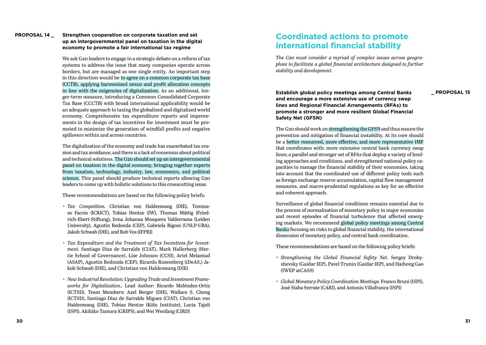#### **Strengthen cooperation on corporate taxation and set up an intergovernmental panel on taxation in the digital economy to promote a fair international tax regime PROPOSAL 14** Strengthen cooperation on corporate taxation and set **Coordinated actions to promote**

We ask G20 leaders to engage in a strategic debate on a reform of tax systems to address the issue that many companies operate across borders, but are managed as one single entity. An important step in this direction would be to agree on a common corporate tax base (CCTB), applying harmonized nexus and profit allocation concepts in line with the exigencies of digitalization. As an additional, longer-term measure, introducing a Common Consolidated Corporate Tax Base (CCCTB) with broad international applicability would be an adequate approach to taxing the globalized and digitalized world economy. Comprehensive tax expenditure reports and improvements in the design of tax incentives for investment must be promoted to minimize the generation of windfall profits and negative spillovers within and across countries.

The digitalization of the economy and trade has exacerbated tax evasion and tax avoidance, and there is a lack of consensus about political and technical solutions. The G20 should set up an intergovernmental panel on taxation in the digital economy, bringing together experts from taxation, technology, industry, law, economics, and political science. This panel should produce technical reports allowing G20 leaders to come up with holistic solutions to this crosscutting issue.

These recommendations are based on the following policy briefs:

- **•** *Tax Competition.* Christian von Haldenwang (DIE), Tommaso Faccio (ICRICT), Tobias Hentze (IW), Thomas Mättig (Friedrich-Ebert-Stiftung), Irma Johanna Mosquera Valderrama (Leiden University), Agustín Redonda (CEP), Gabriela Rigoni (UNLP-UBA), Jakob Schwab (DIE), and Rob Vos (IFPRI)
- **•** *Tax Expenditure and the Treatment of Tax Incentives for Investment.* Santiago Díaz de Sarralde (CIAT), Mark Hallerberg (Hertie School of Governance), Lise Johnson (CCSI), Ariel Melamud (ASAP), Agustín Redonda (CEP), Ricardo Rozemberg (iDeAS,) Jakob Schwab (DIE), and Christian von Haldenwang (DIE)
- **•** *New Industrial Revolution: Upgrading Trade and Investment Frameworks for Digitalization..* Lead Author: Ricardo Meléndez-Ortiz (ICTSD). Team Members: Axel Berger (DIE), Wallace S. Cheng (ICTSD), Santiago Díaz de Sarralde Miguez (CIAT), Christian von Haldenwang (DIE), Tobias Hentze (Köln Institute), Lucia Tajoli (ISPI), Akihiko Tamura (GRIPS), and Wei Wenfang (CIRD)

# **international financial stability**

*The G20 must consider a myriad of complex issues across geographies to facilitate a global financial architecture designed to further stability and development.*

**Establish global policy meetings among Central Banks and encourage a more extensive use of currency swap lines and Regional Financial Arrangements (RFAs) to promote a stronger and more resilient Global Financial Safety Net (GFSN)**

The G20 should work on strengthening the GFSN and thus ensure the prevention and mitigation of financial instability. At its core should be a better resourced, more effective, and more representative IMF that coordinates with: more extensive central bank currency swap lines; a parallel and stronger set of RFAs that deploy a variety of lending approaches and conditions, and strengthened national policy capacities to manage the financial stability of their economies, taking into account that the coordinated use of different policy tools such as foreign exchange reserve accumulation, capital flow management measures, and macro-prudential regulations as key for an effective and coherent approach.

Surveillance of global financial conditions remains essential due to the process of normalization of monetary policy in major economies and recent episodes of financial turbulence that affected emerging markets. We recommend global policy meetings among Central Banks focusing on risks to global financial stability, the international dimension of monetary policy, and central bank coordination.

These recommendations are based on the following policy briefs:

- **•** *Strengthening the Global Financial Safety Net.* Sergey Drobyshevsky (Gaidar IEP), Pavel Trunin (Gaidar IEP), and Haihong Gao (IWEP atCASS)
- **•** *Global Monetary Policy Coordination Meetings.* Franco Bruni (ISPI), José Siaba Serrate (CARI), and Antonio Villafranca (ISPI)

**\_ PROPOSAL 15**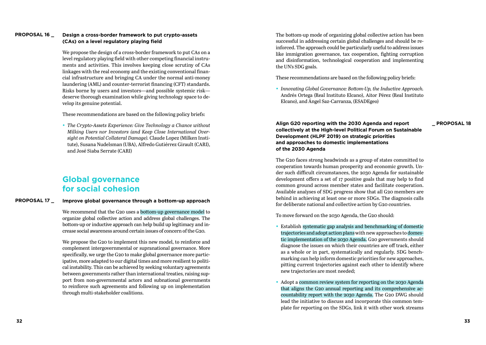#### **Design a cross-border framework to put crypto-assets (CAs) on a level regulatory playing field PROPOSAL 16 \_**

We propose the design of a cross-border framework to put CAs on a level regulatory playing field with other competing financial instruments and activities. This involves keeping close scrutiny of CAs linkages with the real economy and the existing conventional financial infrastructure and bringing CA under the normal anti-money laundering (AML) and counter-terrorist financing (CFT) standards. Risks borne by users and investors—and possible systemic risk deserve thorough examination while giving technology space to develop its genuine potential.

These recommendations are based on the following policy briefs:

**•** *The Crypto-Assets Experience: Give Technology a Chance without Milking Users nor Investors (and Keep Close International Oversight on Potential Collateral Damage).* Claude Lopez (Milken Institute), Susana Nudelsman (UBA), Alfredo Gutiérrez Girault (CARI), and José Siaba Serrate (CARI)

# **Global governance for social cohesion**

#### **Improve global governance through a bottom-up approach PROPOSAL 17 \_**

We recommend that the G20 uses a bottom-up governance model to organize global collective action and address global challenges. The bottom-up or inductive approach can help build up legitimacy and increase social awareness around certain issues of concern of the G20.

We propose the G20 to implement this new model, to reinforce and complement intergovernmental or supranational governance. More specifically, we urge the G20 to make global governance more participative, more adapted to our digital times and more resilient to political instability. This can be achieved by seeking voluntary agreements between governments rather than international treaties, raising support from non-governmental actors and subnational governments to reinforce such agreements and following up on implementation through multi-stakeholder coalitions.

The bottom-up mode of organizing global collective action has been successful in addressing certain global challenges and should be reinforced. The approach could be particularly useful to address issues like immigration governance, tax cooperation, fighting corruption and disinformation, technological cooperation and implementing the UN's SDG goals.

These recommendations are based on the following policy briefs:

**•** *Innovating Global Governance: Bottom-Up, the Inductive Approach.*  Andrés Ortega (Real Instituto Elcano), Aitor Pérez (Real Instituto Elcano), and Ángel Saz-Carranza, (ESADEgeo)

**Align G20 reporting with the 2030 Agenda and report collectively at the High-level Political Forum on Sustainable Development (HLPF 2019) on strategic priorities and approaches to domestic implementations of the 2030 Agenda**

The G20 faces strong headwinds as a group of states committed to cooperation towards human prosperity and economic growth. Under such difficult circumstances, the 2030 Agenda for sustainable development offers a set of 17 positive goals that may help to find common ground across member states and facilitate cooperation. Available analyses of SDG progress show that all G20 members are behind in achieving at least one or more SDGs. The diagnosis calls for deliberate national and collective action by G20 countries.

To move forward on the 2030 Agenda, the G20 should:

- **•** Establish systematic gap analysis and benchmarking of domestic trajectories and adopt action plans with new approaches to domestic implementation of the 2030 Agenda. G20 governments should diagnose the issues on which their countries are off track, either as a whole or in part, systematically and regularly. SDG benchmarking can help inform domestic priorities for new approaches, pitting current trajectories against each other to identify where new trajectories are most needed;
- **•** Adopt a common review system for reporting on the 2030 Agenda that aligns the G20 annual reporting and its comprehensive accountability report with the 2030 Agenda. The G20 DWG should lead the initiative to discuss and incorporate this common template for reporting on the SDGs, link it with other work streams

**\_ PROPOSAL 18**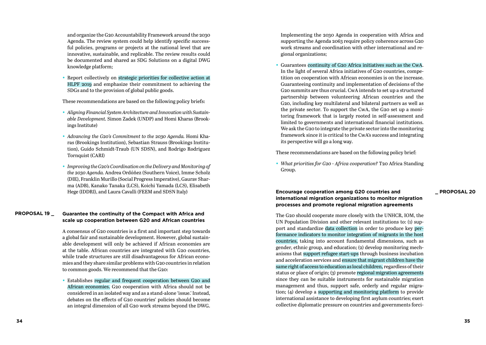and organize the G20 Accountability Framework around the 2030 Agenda. The review system could help identify specific successful policies, programs or projects at the national level that are innovative, sustainable, and replicable. The review results could be documented and shared as SDG Solutions on a digital DWG knowledge platform;

**•** Report collectively on strategic priorities for collective action at HLPF 2019 and emphasize their commitment to achieving the SDGs and to the provision of global public goods.

These recommendations are based on the following policy briefs:

- **•** *Aligning Financial System Architecture and Innovation with Sustainable Development.* Simon Zadek (UNDP) and Homi Kharas (Brookings Institute)
- **•** *Advancing the G20's Commitment to the 2030 Agenda.* Homi Kharas (Brookings Institution), Sebastian Strauss (Brookings Institution), Guido Schmidt-Traub (UN SDSN), and Rodrigo Rodriguez Tornquist (CARI)
- **•** *Improving the G20's Coordination on the Delivery and Monitoring of the 2030 Agenda.* Andrea Ordóñez (Southern Voice), Imme Scholz (DIE), Franklin Murillo (Social Progress Imperative), Gaurav Sharma (ADB), Kanako Tanaka (LCS), Koichi Yamada (LCS), Elisabeth Hege (IDDRI), and Laura Cavalli (FEEM and SDSN Italy)

#### **Guarantee the continuity of the Compact with Africa and scale up cooperation between G20 and African countries PROPOSAL 19 \_**

A consensus of G20 countries is a first and important step towards a global fair and sustainable development. However, global sustainable development will only be achieved if African economies are at the table. African countries are integrated with G20 countries, while trade structures are still disadvantageous for African economies and they share similar problems with G20 countries in relation to common goods. We recommend that the G20:

**•** Establishes regular and frequent cooperation between G20 and African economies. G20 cooperation with Africa should not be considered in an isolated way and as a stand-alone 'issue.' Instead, debates on the effects of G20 countries' policies should become an integral dimension of all G20 work streams beyond the DWG.

Implementing the 2030 Agenda in cooperation with Africa and supporting the Agenda 2063 require policy coherence across G20 work streams and coordination with other international and regional organizations;

**•** Guarantees continuity of G20 Africa initiatives such as the CwA. In the light of several Africa initiatives of G20 countries, competition on cooperation with African economies is on the increase. Guaranteeing continuity and implementation of decisions of the G20 summits are thus crucial. CwA intends to set up a structured partnership between volunteering African countries and the G20, including key multilateral and bilateral partners as well as the private sector. To support the CwA, the G20 set up a monitoring framework that is largely rooted in self-assessment and limited to governments and international financial institutions. We ask the G20 to integrate the private sector into the monitoring framework since it is critical to the CwA's success and integrating its perspective will go a long way.

These recommendations are based on the following policy brief:

**•** *What priorities for G20 - Africa cooperation?* T20 Africa Standing Group.

### **Encourage cooperation among G20 countries and international migration organizations to monitor migration processes and promote regional migration agreements**

**\_ PROPOSAL 20**

The G20 should cooperate more closely with the UNHCR, IOM, the UN Population Division and other relevant institutions to: (1) support and standardize data collection in order to produce key performance indicators to monitor integration of migrants in the host countries, taking into account fundamental dimensions, such as gender, ethnic group, and education; (2) develop monitoring mechanisms that support refugee start-ups through business incubation and acceleration services and ensure that migrant children have the same right of access to education as local children, regardless of their status or place of origin; (3) promote regional migration agreements since they can be suitable instruments for sustainable migration management and thus, support safe, orderly and regular migration; (4) develop a supporting and monitoring platform to provide international assistance to developing first asylum countries; exert collective diplomatic pressure on countries and governments forci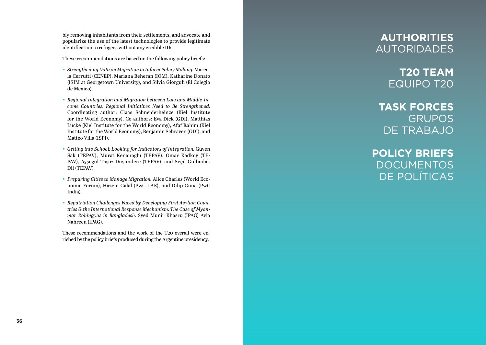bly removing inhabitants from their settlements, and advocate and popularize the use of the latest technologies to provide legitimate identification to refugees without any credible IDs.

These recommendations are based on the following policy briefs:

- **•** *Strengthening Data on Migration to Inform Policy Making.* Marce la Cerrutti (CENEP), Mariana Beheran (IOM), Katharine Donato (ISIM at Georgetown University), and Silvia Giorguli (El Colegio de Mexico).
- **•** *Regional Integration and Migration between Low and Middle-In come Countries: Regional Initiatives Need to Be Strengthened.*  Coordinating author: Claas Schneiderheinze (Kiel Institute for the World Economy). Co-authors: Eva Dick (GDI), Matthias Lücke (Kiel Institute for the World Economy), Afaf Rahim (Kiel Institute for the World Economy), Benjamin Schraven (GDI), and Matteo Villa (ISPI).
- **•** *Getting into School: Looking for Indicators of Integration.* Güven Sak (TEPAV), Murat Kenanoglu (TEPAV), Omar Kadkoy (TE - PAV), Ayşegül Taşöz Düşündere (TEPAV), and Seçil Gülbudak Dil (TEPAV)
- **•** *Preparing Cities to Manage Migration.* Alice Charles (World Eco nomic Forum), Hazem Galal (PwC UAE), and Dilip Guna (PwC India).
- **•** *Repatriation Challenges Faced by Developing First Asylum Coun tries & the International Response Mechanism: The Case of Myan mar Rohingyas in Bangladesh.* Syed Munir Khasru (IPAG) Avia Nahreen (IPAG).

These recommendations and the work of the T20 overall were en riched by the policy briefs produced during the Argentine presidency.

# **AUTHORITIES** AUTORIDADES

**T20 TEAM** EQUIPO T20

**TASK FORCES** GRUPOS DE TRABAJO

**POLICY BRIEFS DOCUMENTOS** DE POLÍTICAS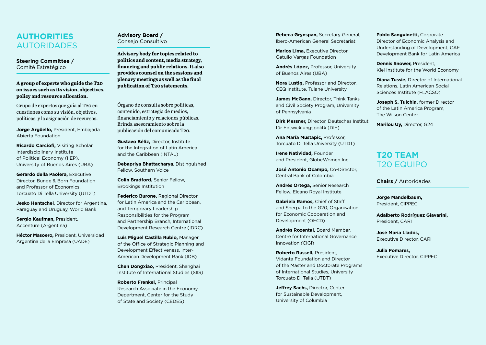# **AUTHORITIES** AUTORIDADES

**Steering Committee /**  Comité Estratégico

# **A group of experts who guide the T20 on issues such as its vision, objectives, policy and resource allocation.**

Grupo de expertos que guía al T20 en cuestiones como su visión, objetivos, políticas, y la asignación de recursos.

**Jorge Argüello,** President, Embajada Abierta Foundation

**Ricardo Carciofi,** Visiting Scholar, Interdisciplinary Institute of Political Economy (IIEP), University of Buenos Aires (UBA)

**Gerardo della Paolera,** Executive Director, Bunge & Born Foundation and Professor of Economics, Torcuato Di Tella University (UTDT)

**Jesko Hentschel**, Director for Argentina, Paraguay and Uruguay, World Bank

**Sergio Kaufman,** President, Accenture (Argentina)

**Héctor Masoero,** President, Universidad Argentina de la Empresa (UADE)

# **Advisory Board /** Consejo Consultivo

**Advisory body for topics related to politics and content, media strategy, financing and public relations. It also provides counsel on the sessions and plenary meetings as well as the final publication of T20 statements.**

Órgano de consulta sobre políticas, contenido, estrategia de medios, financiamiento y relaciones públicas. Brinda asesoramiento sobre la publicación del comunicado T20.

**Gustavo Béliz,** Director, Institute for the Integration of Latin America and the Caribbean (INTAL)

**Debapriya Bhattacharya**, Distinguished Fellow, Southern Voice

**Colin Bradford,** Senior Fellow, Brookings Institution

**Federico Burone,** Regional Director for Latin America and the Caribbean, and Temporary Leadership Responsibilities for the Program and Partnership Branch, International Development Research Centre (IDRC)

**Luis Miguel Castilla Rubio,** Manager of the Office of Strategic Planning and Development Effectiveness, Inter-American Development Bank (IDB)

**Chen Dongxiao,** President, Shanghai Institute of International Studies (SIIS)

### **Roberto Frenkel,** Principal

Research Associate in the Economy Department, Center for the Study of State and Society (CEDES)

**Rebeca Grynspan,** Secretary General, Ibero-American General Secretariat

**Marlos Lima,** Executive Director, Getulio Vargas Foundation

**Andrés López,** Professor, University of Buenos Aires (UBA)

**Nora Lustig,** Professor and Director, CEQ Institute, Tulane University

**James McGann,** Director, Think Tanks and Civil Society Program, University of Pennsylvania

**Dirk Messner,** Director, Deutsches Institut für Entwicklungspolitk (DIE)

**Ana María Mustapic,** Professor, Torcuato Di Tella University (UTDT)

**Irene Natividad,** Founder and President, GlobeWomen Inc.

**José Antonio Ocampo,** Co-Director, Central Bank of Colombia

**Andrés Ortega,** Senior Research Fellow, Elcano Royal Institute

**Gabriela Ramos,** Chief of Staff and Sherpa to the G20, Organisation for Economic Cooperation and Development (OECD)

**Andrés Rozental,** Board Member, Centre for International Governance Innovation (CIGI)

**Roberto Russell,** President, Vidanta Foundation and Director of the Master and Doctorate Programs of International Studies, University Torcuato Di Tella (UTDT)

**Jeffrey Sachs,** Director, Center for Sustainable Development, University of Columbia

**Pablo Sanguinetti,** Corporate Director of Economic Analysis and Understanding of Development, CAF Development Bank for Latin America

**Dennis Snower,** President, Kiel Institute for the World Economy

**Diana Tussie,** Director of International Relations, Latin American Social Sciences Institute (FLACSO)

**Joseph S. Tulchin,** former Director of the Latin America Program, The Wilson Center

**Marilou Uy,** Director, G24

# **T20 TEAM** T20 EQUIPO

**Chairs /** Autoridades

**Jorge Mandelbaum,**  President, CIPPEC

**Adalberto Rodríguez Giavarini,** President, CARI

**José María Lladós,** Executive Director, CARI

**Julia Pomares,** Executive Director, CIPPEC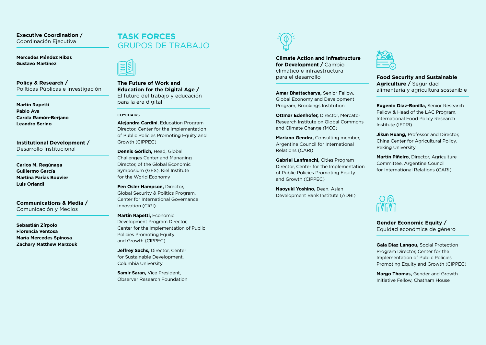**Executive Coordination /** Coordinación Ejecutiva

**Mercedes Méndez Ribas Gustavo Martínez**

**Policy & Research /** Políticas Públicas e Investigación

**Martín Rapetti Pablo Ava Carola Ramón-Berjano Leandro Serino**

**Institutional Development /** Desarrollo Institucional

**Carlos M. Regúnaga Guillermo García Martina Farías Bouvier Luis Orlandi**

**Communications & Media /**  Comunicación y Medios

**Sebastián Zírpolo Florencia Ventosa María Mercedes Spinosa Zachary Matthew Marzouk** 

# **TASK FORCES** GRUPOS DE TRABAJO



**The Future of Work and Education for the Digital Age /**  El futuro del trabajo y educación para la era digital

# co-chairs

**Alejandra Cardini**, Education Program Director, Center for the Implementation of Public Policies Promoting Equity and Growth (CIPPEC)

**Dennis Görlich,** Head, Global Challenges Center and Managing Director, of the Global Economic Symposium (GES), Kiel Institute for the World Economy

**Fen Osler Hampson,** Director, Global Security & Politics Program, Center for International Governance Innovation (CIGI)

**Martín Rapetti,** Economic Development Program Director, Center for the Implementation of Public Policies Promoting Equity and Growth (CIPPEC)

**Jeffrey Sachs,** Director, Center for Sustainable Development, Columbia University

**Samir Saran,** Vice President, Observer Research Foundation



**Climate Action and Infrastructure for Development /** Cambio climático e infraestructura para el desarrollo

**Amar Bhattacharya,** Senior Fellow, Global Economy and Development Program, Brookings Institution

**Ottmar Edenhofer,** Director, Mercator Research Institute on Global Commons and Climate Change (MCC)

**Mariano Gendra,** Consulting member, Argentine Council for International Relations (CARI)

**Gabriel Lanfranchi,** Cities Program Director, Center for the Implementation of Public Policies Promoting Equity and Growth (CIPPEC)

**Naoyuki Yoshino,** Dean, Asian Development Bank Institute (ADBI)



**Food Security and Sustainable Agriculture /** Seguridad alimentaria y agricultura sostenible

**Eugenio Díaz-Bonilla,** Senior Research Fellow & Head of the LAC Program, International Food Policy Research Institute (IFPRI)

**Jikun Huang, Professor and Director,** China Center for Agricultural Policy, Peking University

**Martín Piñeiro**, Director, Agriculture Committee, Argentine Council for International Relations (CARI)



**Gender Economic Equity /** Equidad económica de género

**Gala Díaz Langou,** Social Protection Program Director, Center for the Implementation of Public Policies Promoting Equity and Growth (CIPPEC)

**Margo Thomas,** Gender and Growth Initiative Fellow, Chatham House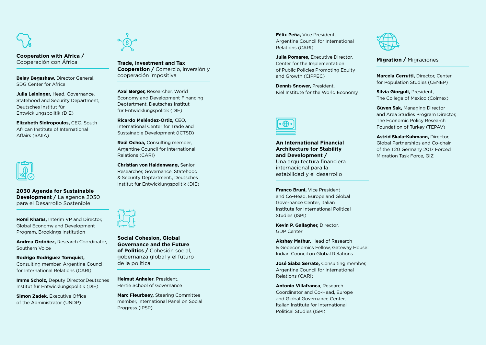

**Cooperation with Africa /** Cooperación con África

**Belay Begashaw,** Director General, SDG Center for Africa

**Julia Leininger,** Head, Governance, Statehood and Security Department, Deutsches Institut für Entwicklungspolitik (DIE)

**Elizabeth Sidiropoulos,** CEO, South African Institute of International Affairs (SAIIA)



**2030 Agenda for Sustainable Development /** La agenda 2030 para el Desarrollo Sostenible

**Homi Kharas,** Interim VP and Director, Global Economy and Development Program, Brookings Institution

**Andrea Ordóñez,** Research Coordinator, Southern Voice

### **Rodrigo Rodríguez Tornquist,** Consulting member, Argentine Council for International Relations (CARI)

**Imme Scholz,** Deputy Director,Deutsches Institut für Entwicklungspolitik (DIE)

**Simon Zadek,** Executive Office of the Administrator (UNDP)



**Trade, investment and Tax Cooperation /** Comercio, inversión y cooperación impositiva

**Axel Berger,** Researcher, World Economy and Development Financing Deptartment, Deutsches Institut für Entwicklungspolitik (DIE)

**Ricardo Meléndez-Ortiz,** CEO, International Center for Trade and Sustainable Development (ICTSD)

**Raúl Ochoa,** Consulting member, Argentine Council for International Relations (CARI)

**Christian von Haldenwang,** Senior Researcher, Governance, Statehood & Security Deptartment., Deutsches Institut für Entwicklungspolitik (DIE)



# **Social Cohesion, Global Governance and the Future of Politics /** Cohesión social, gobernanza global y el futuro de la política

**Helmut Anheier**, President, Hertie School of Governance

**Marc Fleurbaey,** Steering Committee member, International Panel on Social Progress (IPSP)

**Félix Peña,** Vice President, Argentine Council for International Relations (CARI)

**Julia Pomares,** Executive Director, Center for the Implementation of Public Policies Promoting Equity and Growth (CIPPEC)

**Dennis Snower,** President, Kiel Institute for the World Economy



**An International Financial Architecture for Stability and Development /** Una arquitectura financiera internacional para la estabilidad y el desarrollo

**Franco Bruni,** Vice President and Co-Head, Europe and Global Governance Center, Italian Institute for International Political Studies (ISPI)

**Kevin P. Gallagher,** Director, GDP Center

**Akshay Mathur,** Head of Research & Geoeconomics Fellow, Gateway House: Indian Council on Global Relations

**José Siaba Serrate,** Consulting member, Argentine Council for International Relations (CARI)

**Antonio Villafranca**, Research Coordinator and Co-Head, Europe and Global Governance Center, Italian Institute for International Political Studies (ISPI)



# **Migration /** Migraciones

**Marcela Cerrutti,** Director, Center for Population Studies (CENEP)

**Silvia Giorguli,** President, The College of Mexico (Colmex)

**Güven Sak,** Managing Director and Area Studies Program Director, The Economic Policy Research Foundation of Turkey (TEPAV)

**Astrid Skala-Kuhmann,** Director, Global Partnerships and Co-chair of the T20 Germany 2017 Forced Migration Task Force, GIZ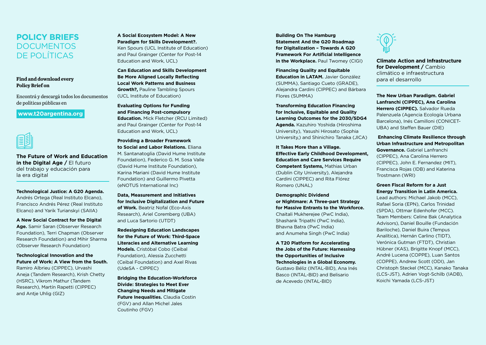# **POLICY BRIEFS**  DOCUMENTOS DE POLÍTICAS

### **Find and download every Policy Brief on**

Encontrá y descargá todos los documentos de políticas públicas en

# **www.t20argentina.org**



**The Future of Work and Education in the Digital Age / El futuro** del trabajo y educación para la era digital

**Technological Justice: A G20 Agenda.** Andrés Ortega (Real Instituto Elcano), Francisco Andrés Pérez (Real Instituto Elcano) and Yarik Turianskyi (SAIIA)

**A New Social Contract for the Digital Age.** Samir Saran (Observer Research Foundation), Terri Chapman (Observer Research Foundation) and Mihir Sharma (Observer Research Foundation)

# **Technological Innovation and the Future of Work: A View from the South.** Ramiro Albrieu (CIPPEC), Urvashi Aneja (Tandem Research), Krish Chetty (HSRC), Vikrom Mathur (Tandem Research), Martín Rapetti (CIPPEC) and Antje Uhlig (GIZ)

**A Social Ecosystem Model: A New Paradigm for Skills Development?.** Ken Spours (UCL Institute of Education) and Paul Grainger (Center for Post-14 Education and Work, UCL)

**Can Education and Skills Development Be More Aligned Locally Reflecting Local Work Patterns and Business Growth?.** Pauline Tambling Spours (UCL Institute of Education)

**Evaluating Options for Funding and Financing Post-compulsory Education.** Mick Fletcher (RCU Limited) and Paul Grainger (Center for Post-14 Education and Work, UCL)

**Providing a Broader Framework to Social and Labor Relations.** Eliana M. Santanatoglia (David Hume Institute Foundation), Federico G. M. Sosa Valle (David Hume Institute Foundation), Karina Mariani (David Hume Institute Foundation) and Guillermo Pivetta (eNOTUS International Inc)

**Data, Measurement and Initiatives for Inclusive Digitalization and Future of Work.** Beatriz Nofal (Eco-Axis Research), Ariel Coremberg (UBA) and Luca Sartorio (UTDT)

**Redesigning Education Landscapes for the Future of Work: Third-Space Literacies and Alternative Learning Models.** Cristóbal Cobo (Ceibal Foundation), Alessia Zucchetti (Ceibal Foundation) and Axel Rivas (UdeSA - CIPPEC)

**Bridging the Education-Workforce Divide: Strategies to Meet Ever Changing Needs and Mitigate Future Inequalities.** Claudia Costin (FGV) and Allan Michel Jales Coutinho (FGV)

**Building On The Hamburg Statement And the G20 Roadmap for Digitalization – Towards A G20 Framework For Artificial Intelligence in the Workplace.** Paul Twomey (CIGI)

**Financing Quality and Equitable Education in LATAM.** Javier González (SUMMA), Santiago Cueto (GRADE), Alejandra Cardini (CIPPEC) and Bárbara Flores (SUMMA)

**Transforming Education Financing for Inclusive, Equitable and Quality Learning Outcomes for the 2030/SDG4 Agenda.** Kazuhiro Yoshida (Hiroshima University), Yasushi Hirosato (Sophia University,) and Shinichiro Tanaka (JICA)

**It Takes More than a Village. Effective Early Childhood Development, Education and Care Services Require Competent Systems,** Mathias Urban (Dublin City University), Alejandra Cardini (CIPPEC) and Rita Flórez Romero (UNAL)

**Demographic Dividend or Nightmare: A Three-part Strategy for Massive Entrants to the Workforce.**  Chaitali Mukherejee (PwC India), Shashank Tripathi (PwC India), Bhavna Batra (PwC India) and Anumeha Singh (PwC India)

**A T20 Platform for Accelerating the Jobs of the Future: Harnessing the Opportunities of Inclusive Technologies in a Global Economy.** Gustavo Béliz (INTAL-BID), Ana Inés Basco (INTAL-BID) and Belisario de Acevedo (INTAL-BID)



**Climate Action and Infrastructure for Development /** Cambio climático e infraestructura para el desarrollo

**The New Urban Paradigm. Gabriel Lanfranchi (CIPPEC), Ana Carolina Herrero (CIPPEC).** Salvador Rueda Palenzuela (Agencia Ecología Urbana Barcelona), Inés Camilloni (CONICET-UBA) and Steffen Bauer (DIE)

 **Enhancing Climate Resilience through Urban Infrastructure and Metropolitan Governance.** Gabriel Lanfranchi (CIPPEC), Ana Carolina Herrero (CIPPEC), John E. Fernandez (MIT), Francisca Rojas (IDB) and Katerina Trostmann (WRI)

## **Green Fiscal Reform for a Just Energy Transition in Latin America.**

Lead authors: Michael Jakob (MCC), Rafael Soria (EPN), Carlos Trinidad (SPDA), Ottmar Edenhofer (MCC). Team Members: Celine Bak (Analytica Advisors), Daniel Bouille (Fundación Bariloche), Daniel Buira (Tempus Analítica), Hernán Carlino (TIDT), Verónica Gutman (FTDT), Christian Hübner (KAS), Brigitte Knopf (MCC), André Lucena (COPPE), Luan Santos (COPPE), Andrew Scott (ODI), Jan Christoph Steckel (MCC), Kanako Tanaka (LCS-JST), Adrien Vogt-Schilb (IADB), Koichi Yamada (LCS-JST)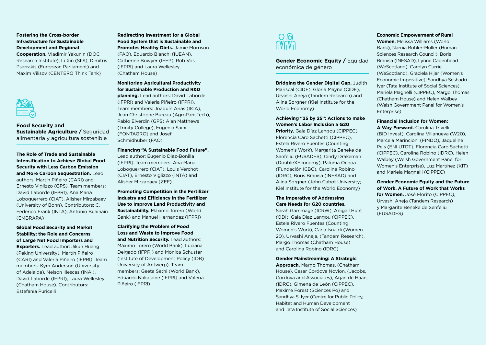# **Fostering the Cross-border Infrastructure for Sustainable Development and Regional**

**Cooperation.** Vladimir Yakunin (DOC Research Institute), Li Xin (SIIS), Dimitris Psarrakis (European Parliament) and Maxim Vilisov (CENTERO Think Tank)



**Food Security and Sustainable Agriculture / Sequridad** alimentaria y agricultura sostenible

**The Role of Trade and Sustainable Intensification to Achieve Global Food Security with Less Carbon Emission and More Carbon Sequestration.** Lead authors: Martín Piñeiro (CARI) and Ernesto Viglizzo (GPS). Team members: David Laborde (IFPRI), Ana María Loboguerrero (CIAT), Alisher Mirzabaev (University of Bonn). Contributors: C. Federico Frank (INTA), Antonio Buainain (EMBRAPA)

### **Global Food Security and Market Stability: the Role and Concerns of Large Net Food Importers and**

**Exporters.** Lead author: Jikun Huang (Peking University), Martín Piñeiro (CARI) and Valeria Piñeiro (IFPRI). Team members: Kym Anderson (University of Adelaide), Nelson Illescas (INAI), David Laborde (IFPRI), Laura Wellesley (Chatham House). Contributors: Estefanía Puricelli

**Redirecting Investment for a Global Food System that is Sustainable and Promotes Healthy Diets.** Jamie Morrison (FAO), Eduardo Bianchi (IUEAN),

Catherine Bowyer (IEEP), Rob Vos (IFPRI) and Laura Wellesley (Chatham House)

**Monitoring Agricultural Productivity for Sustainable Production and R&D planning.** Lead authors: David Laborde (IFPRI) and Valeria Piñeiro (IFPRI). Team members: Joaquín Arias (IICA), Jean Christophe Bureau (AgroParisTech), Pablo Elverdin (GPS) Alan Matthews (Trinity College), Eugenia Saini (FONTAGRO) and Josef Schmidhuber (FAO)

#### **Financing "A Sustainable Food Future".**

Lead author: Eugenio Diaz-Bonilla (IFPRI). Team members: Ana Maria Loboguerrero (CIAT), Louis Verchot (CIAT), Ernesto Viglizzo (INTA) and Alisher Mirzabaev (ZEF)

**Promoting Competition in the Fertilizer Industry and Efficiency in the Fertilizer Use to Improve Land Productivity and Sustainability.** Máximo Torero (World Bank) and Manuel Hernandez (IFPRI)

**Clarifying the Problem of Food Loss and Waste to Improve Food and Nutrition Security.** Lead authors: Máximo Torero (World Bank), Luciana Delgado (IFPRI) and Monica Schuster (Institute of Development Policy (IOB) University of Antwerp). Team members: Geeta Sethi (World Bank), Eduardo Nakasone (IFPRI) and Valeria Piñeiro (IFPRI)



**Gender Economic Equity /** Equidad económica de género

**Bridging the Gender Digital Gap.** Judith Mariscal (CIDE), Gloria Mayne (CIDE), Urvashi Aneja (Tandem Research) and Alina Sorgner (Kiel Institute for the World Economy)

# **Achieving "25 by 25": Actions to make Women's Labor Inclusion a G20**

**Priority**, Gala Díaz Langou (CIPPEC), Florencia Caro Sachetti (CIPPEC), Estela Rivero Fuentes (Counting Women's Work), Margarita Beneke de Sanfeliu (FUSADES), Cindy Drakeman (DoubleXEconomy), Paloma Ochoa (Fundación ICBC), Carolina Robino (IDRC), Boris Branisa (INESAD) and Alina Sorgner (John Cabot University; Kiel Institute for the World Economy)

### **The Imperative of Addressing Care Needs for G20 countries.**

Sarah Gammage (ICRW), Abigail Hunt (ODI), Gala Díaz Langou (CIPPEC), Estela Rivero Fuentes (Counting Women's Work), Carla Isnaldi (Women 20), Urvashi Aneja, (Tandem Research), Margo Thomas (Chatham House) and Carolina Robino (IDRC)

#### **Gender Mainstreaming: A Strategic**

**Approach.** Margo Thomas, (Chatham House), Cesar Cordova Novion, (Jacobs, Cordova and Associates), Arjan de Haan, (IDRC), Gimena de León (CIPPEC), Maxime Forest (Sciences Po) and Sandhya S. Iyer (Centre for Public Policy, Habitat and Human Development and Tata Institute of Social Sciences)

# **Economic Empowerment of Rural**

**Women.** Melissa Williams (World Bank), Narnia Bohler-Muller (Human Sciences Research Council), Boris Branisa (INESAD), Lynne Cadenhead (WeScotland), Carolyn Currie (WeScotland), Graciela Hijar (Women's Economic Imperative), Sandhya Seshadri Iyer (Tata Institute of Social Sciences), Mariela Magnelli (CIPPEC), Margo Thomas (Chatham House) and Helen Walbey (Welsh Government Panel for Women's Enterprise)

#### **Financial Inclusion for Women: A Way Forward.** Carolina Trivelli

(BID Invest), Carolina Villanueva (W20), Marcela Marincioni (FINDO), Jaqueline Pels (ENI UTDT), Florencia Caro Sachetti (CIPPEC), Carolina Robino (IDRC), Helen Walbey (Welsh Government Panel for Women's Enterprise), Luz Martínez (KIT) and Mariela Magnelli (CIPPEC)

#### **Gender Economic Equity and the Future of Work. A Future of Work that Works**

**for Women.** José Florito (CIPPEC), Urvashi Aneja (Tandem Research) y Margarite Beneke de Senfeliu (FUSADES)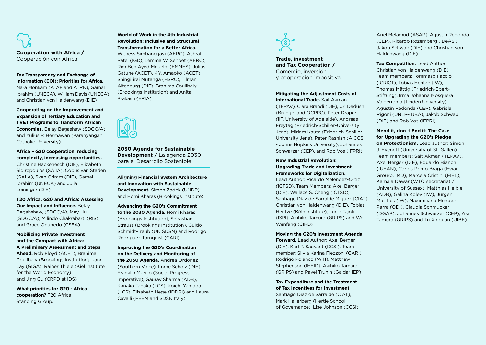

**Tax Transparency and Exchange of Information (EOI): Priorities for Africa**. Nara Monkam (ATAF and ATRN), Gamal Ibrahim (UNECA), William Davis (UNECA) and Christian von Haldenwang (DIE)

**Cooperating on the Improvement and Expansion of Tertiary Education and TVET Programs to Transform African Economies.** Belay Begashaw (SDGC/A) and Yulius P. Hermawan (Parahyangan Catholic University)

**Africa – G20 cooperation: reducing complexity, increasing opportunities.** Christine Hackenesch (DIE), Elizabeth

Sidiropoulos (SAIIA), Cobus van Staden (SAIIA), Sven Grimm (DIE), Gamal Ibrahim (UNECA) and Julia Leininger (DIE)

**T20 Africa, G20 and Africa: Assessing Our Impact and Influence.** Belay Begahshaw, (SDGC/A), May Hui (SDGC/A), Milindo Chakrabarti (RIS) and Grace Onubedo (CSEA)

**Mobilizing Private Investment and the Compact with Africa: A Preliminary Assessment and Steps** 

**Ahead.** Rob Floyd (ACET), Brahima Coulibaly (Brookings Institution), Jann Lay (GIGA), Rainer Thiele (Kiel Institute for the World Economy) and Jing Gu (CRPD at IDS)

**What priorities for G20 - Africa cooperation?** T20 Africa Standing Group.

### **World of Work in the 4th Industrial Revolution: Inclusive and Structural Transformation for a Better Africa.**

Witness Simbanegavi (AERC), Ashraf Patel (IGD), Lemma W. Senbet (AERC), Rim Ben Ayed Mouelhi (EMNES), Julius Gatune (ACET), K.Y. Amaoko (ACET), Shingirirai Mutanga (HSRC), Tilman Altenburg (DIE), Brahima Coulibaly (Brookings Institution) and Anita Prakash (ERIA)



**2030 Agenda for Sustainable Development /** La agenda 2030 para el Desarrollo Sostenible

**Aligning Financial System Architecture and Innovation with Sustainable Development.** Simon Zadek (UNDP) and Homi Kharas (Brookings Institute)

**Advancing the G20's Commitment to the 2030 Agenda.** Homi Kharas (Brookings Institution), Sebastian Strauss (Brookings Institution), Guido Schmidt-Traub (UN SDSN) and Rodrigo Rodriguez Tornquist (CARI)

**Improving the G20's Coordination on the Delivery and Monitoring of the 2030 Agenda.** Andrea Ordóñez (Southern Voice), Imme Scholz (DIE), Franklin Murillo (Social Progress Imperative), Gaurav Sharma (ADB), Kanako Tanaka (LCS), Koichi Yamada (LCS), Elisabeth Hege (IDDRI) and Laura Cavalli (FEEM and SDSN Italy)



**Trade, investment and Tax Cooperation /** Comercio, inversión y cooperación impositiva

**Mitigating the Adjustment Costs of** 

**International Trade.** Sait Akman (TEPAV), Clara Brandi (DIE), Uri Dadush (Bruegel and OCPPC), Peter Draper (IIT, University of Adelaide), Andreas Freytag (Friedrich-Schiller-University Jena), Miriam Kautz (Friedrich-Schiller-University Jena), Peter Rashish (AICGS - Johns Hopkins University), Johannes Schwarzer (CEP), and Rob Vos (IFPRI)

### **New Industrial Revolution: Upgrading Trade and Investment Frameworks for Digitalization.**

Lead Author: Ricardo Meléndez-Ortiz (ICTSD). Team Members: Axel Berger (DIE), Wallace S. Cheng (ICTSD), Santiago Díaz de Sarralde Miguez (CIAT), Christian von Haldenwang (DIE), Tobias Hentze (Köln Institute), Lucia Tajoli (ISPI), Akihiko Tamura (GRIPS) and Wei Wenfang (CIRD)

#### **Moving the G20's Investment Agenda**

**Forward.** Lead Author: Axel Berger (DIE), Karl P. Sauvant (CCSI). Team member: Silvia Karina Fiezzoni (CARI), Rodrigo Polanco (WTI), Matthew Stephenson (IHEID), Akihiko Tamura (GRIPS) and Pavel Trunin (Gaidar IEP)

**Tax Expenditure and the Treatment of Tax Incentives for Investment**,

Santiago Díaz de Sarralde (CIAT), Mark Hallerberg (Hertie School of Governance), Lise Johnson (CCSI), Ariel Melamud (ASAP), Agustin Redonda (CEP), Ricardo Rozemberg (iDeAS,) Jakob Schwab (DIE) and Christian von Haldenwang (DIE)

**Tax Competition.** Lead Author: Christian von Haldenwang (DIE). Team members: Tommaso Faccio (ICRICT), Tobias Hentze (IW), Thomas Mättig (Friedrich-Ebert-Stiftung), Irma Johanna Mosquera Valderrama (Leiden University), Agustín Redonda (CEP), Gabriela Rigoni (UNLP– UBA), Jakob Schwab (DIE) and Rob Vos (IFPRI)

**Mend it, don´t End it: The Case for Upgrading the G20's Pledge** 

**on Protectionism.** Lead author: Simon J. Evenett (University of St. Gallen). Team members: Sait Akman (TEPAV), Axel Berger (DIE), Eduardo Bianchi (IUEAN), Carlos Primo Braga (Evian Grourp, IMD), Marcela Cristini (FIEL), Kamala Dawar (WTO secretariat / University of Sussex), Matthias Helble (ADB), Galina Kolev (IW), Jürgen Matthes (IW), Maximiliano Mendez-Parra (ODI), Claudia Schmucker (DGAP), Johannes Schwarzer (CEP), Aki Tamura (GRIPS) and Tu Xinquan (UIBE)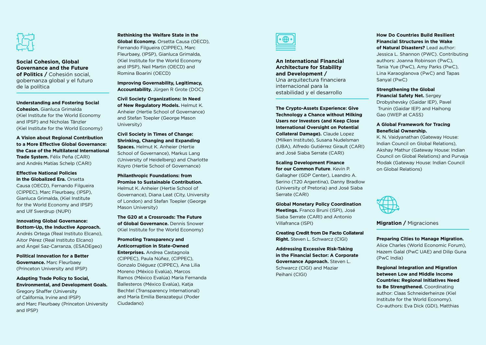

**Social Cohesion, Global Governance and the Future of Politics /** Cohesión social, gobernanza global y el futuro de la política

**Understanding and Fostering Social Cohesion.** Gianluca Grimalda (Kiel Institute for the World Economy and IPSP) and Nicholas Tänzler (Kiel Institute for the World Economy)

**A Vision about Regional Contribution to a More Effective Global Governance: the Case of the Multilateral International Trade System.** Félix Peña (CARI) and Andrés Matías Schelp (CARI)

#### **Effective National Policies in the Globalized Era.** Orsetta

Causa (OECD), Fernando Filgueira (CIPPEC), Marc Fleurbaey, (IPSP), Gianluca Grimalda, (Kiel Institute for the World Economy and IPSP) and Ulf Sverdrup (NUPI)

# **Innovating Global Governance: Bottom-Up, the Inductive Approach.**

Andrés Ortega (Real Instituto Elcano), Aitor Pérez (Real Instituto Elcano) and Ángel Saz-Carranza, (ESADEgeo)

**Political Innovation for a Better Governance.** Marc Fleurbaey (Princeton University and IPSP)

**Adapting Trade Policy to Social, Environmental, and Development Goals.** Gregory Shaffer (University of California, Irvine and IPSP) and Marc Fleurbaey (Princeton University and IPSP)

# **Rethinking the Welfare State in the**

**Global Economy.** Orsetta Causa (OECD), Fernando Filgueira (CIPPEC), Marc Fleurbaey, (IPSP), Gianluca Grimalda, (Kiel Institute for the World Economy and IPSP), Neil Martin (OECD) and Romina Boarini (OECD)

**Improving Governability, Legitimacy, Accountability.** Jürgen R Grote (DOC)

**Civil Society Organizations: In Need of New Regulatory Models.** Helmut K. Anheier (Hertie School of Governance) and Stefan Toepler (George Mason University)

**Civil Society in Times of Change: Shrinking, Changing and Expanding Spaces.** Helmut K. Anheier (Hertie School of Governance), Markus Lang (University of Heidelberg) and Charlotte Koyro (Hertie School of Governance)

**Philanthropic Foundations: from Promise to Sustainable Contribution.**  Helmut K. Anheier (Hertie School of Governance), Diana Leat (City, University of London) and Stefan Toepler (George Mason University)

**The G20 at a Crossroads: The Future of Global Governance.** Dennis Snower (Kiel Institute for the World Economy)

**Promoting Transparency and Anticorruption in State-Owned Enterprises.** Andrea Castagnola (CIPPEC), Paula Núñez, (CIPPEC), Gonzalo Diéguez (CIPPEC), Ana Lilia Moreno (México Evalúa), Marcos Ramos (México Evalúa) María Fernanda Ballesteros (México Evalúa), Katja Bechtel (Transparency International) and María Emilia Berazategui (Poder Ciudadano)



**An International Financial Architecture for Stability and Development /** Una arquitectura financiera internacional para la estabilidad y el desarrollo

**The Crypto-Assets Experience: Give Technology a Chance without Milking Users nor Investors (and Keep Close International Oversight on Potential Collateral Damage).** Claude Lopez (Milken Institute), Susana Nudelsman (UBA), Alfredo Gutiérrez Girault (CARI) and José Siaba Serrate (CARI)

**Scaling Development Finance for our Common Future**. Kevin P. Gallagher (GDP Center), Leandro A. Serino (T20 Argentina), Danny Bradlow (University of Pretoria) and José Siaba Serrate (CARI)

**Global Monetary Policy Coordination Meetings.** Franco Bruni (ISPI), José Siaba Serrate (CARI) and Antonio Villafranca (ISPI)

**Creating Credit from De Facto Collateral Right.** Steven L. Schwarcz (CIGI)

**Addressing Excessive Risk-Taking in the Financial Sector: A Corporate Governance Approach.** Steven L. Schwarcz (CIGI) and Maziar Peihani (CIGI)

### **How Do Countries Build Resilient Financial Structures in the Wake of Natural Disasters?** Lead author:

Jessica L. Shannon (PWC). Contributing authors: Joanna Robinson (PwC), Tania Yue (PwC), Amy Parks (PwC), Lina Karaoglanova (PwC) and Tapas Sanyal (PwC)

### **Strengthening the Global Financial Safety Net.** Sergey

Drobyshevsky (Gaidar IEP), Pavel Trunin (Gaidar IEP) and Haihong Gao (IWEP at CASS)

# **A Global Framework for Tracing Beneficial Ownership.**

K. N. Vaidyanathan (Gateway House: Indian Council on Global Relations), Akshay Mathur (Gateway House: Indian Council on Global Relations) and Purvaja Modak (Gateway House: Indian Council on Global Relations)



# **Migration /** Migraciones

**Preparing Cities to Manage Migration.** 

Alice Charles (World Economic Forum), Hazem Galal (PwC UAE) and Dilip Guna (PwC India)

**Regional Integration and Migration between Low and Middle Income Countries: Regional Initiatives Need to Be Strengthened.** Coordinating author: Claas Schneiderheinze (Kiel Institute for the World Economy). Co-authors: Eva Dick (GDI), Matthias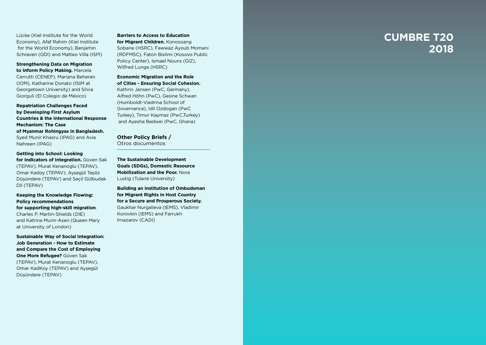Lücke (Kiel Institute for the World Economy), Afaf Rahim (Kiel Institute for the World Economy), Benjamin Schraven (GDI) and Matteo Villa (ISPI)

**Strengthening Data on Migration to Inform Policy Making.** Marcela Cerrutti (CENEP), Mariana Beheran (IOM), Katharine Donato (ISIM at

Georgetown University) and Silvia Giorguli (El Colegio de México)

**Repatriation Challenges Faced by Developing First Asylum Countries & the International Response Mechanism: The Case of Myanmar Rohingyas in Bangladesh.** Syed Munir Khasru (IPAG) and Avia Nahreen (IPAG)

# **Getting into School: Looking for Indicators of Integration.** Güven Sak (TEPAV), Murat Kenanoglu (TEPAV), Omar Kadoy (TEPAV), Ayşegül Taşöz Düşündere (TEPAV) and Seçil Gülbudak Dil (TEPAV)

**Keeping the Knowledge Flowing: Policy recommendations for supporting high-skill migration**. Charles P. Martin-Shields (DIE) and Katrina Munir-Asen (Queen Mary at University of London)

**Sustainable Way of Social Integration: Job Generation - How to Estimate and Compare the Cost of Employing One More Refugee?** Güven Sak (TEPAV), Murat Kenanoglu (TEPAV), Omar KadKoy (TEPAV) and Ayşegül Düşündere (TEPAV)

**Barriers to Access to Education for Migrant Children.** Konosoang Sobane (HSRC), Fawwaz Ayoub Momani (RDFMSC), Faton Bislimi (Kosovo Public Policy Center), Ismael Nouns (GIZ), Wilfred Lunga (HSRC)

**Economic Migration and the Role of Cities - Ensuring Social Cohesion.** Kathrin Jansen (PwC, Germany), Alfred Höhn (PwC), Gesine Schwan (Humboldt-Viadrina School of Governance), Idil Ozdogan (PwC Turkey), Timur Kaymaz (PwC,Turkey) and Ayesha Bedwei (PwC, Ghana)

**Other Policy Briefs /**  Otros documentos

**The Sustainable Development Goals (SDGs), Domestic Resource Mobilization and the Poor.** Nora Lustig (Tulane University)

**Building an Institution of Ombudsman for Migrant Rights in Host Country for a Secure and Prosperous Society.** Gaukhar Nurgalieva (IEMS), Vladimir Korovkin (IEMS) and Farrukh Irnazarov (CADI)

**52 53**

# **CUMBRE T20 2018**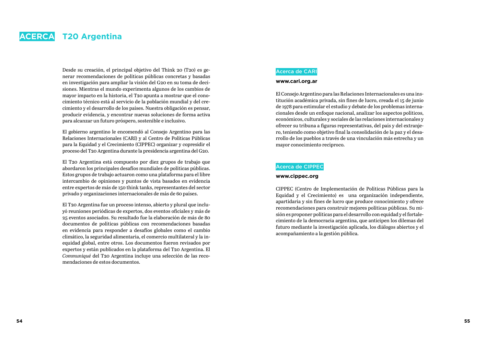#### **T20 Argentina ACERCA**

Desde su creación, el principal objetivo del Think 20 (T20) es generar recomendaciones de políticas públicas concretas y basadas en investigación para ampliar la visión del G20 en su toma de decisiones. Mientras el mundo experimenta algunos de los cambios de mayor impacto en la historia, el T20 apunta a mostrar que el conocimiento técnico está al servicio de la población mundial y del crecimiento y el desarrollo de los países. Nuestra obligación es pensar, producir evidencia, y encontrar nuevas soluciones de forma activa para alcanzar un futuro próspero, sostenible e inclusivo.

El gobierno argentino le encomendó al Consejo Argentino para las Relaciones Internacionales (CARI) y al Centro de Políticas Públicas para la Equidad y el Crecimiento (CIPPEC) organizar y copresidir el proceso del T20 Argentina durante la presidencia argentina del G20.

El T20 Argentina está compuesto por diez grupos de trabajo que abordaron los principales desafíos mundiales de políticas públicas. Estos grupos de trabajo actuaron como una plataforma para el libre intercambio de opiniones y puntos de vista basados en evidencia entre expertos de más de 150 think tanks, representantes del sector privado y organizaciones internacionales de más de 60 países.

El T20 Argentina fue un proceso intenso, abierto y plural que incluyó reuniones periódicas de expertos, dos eventos oficiales y más de 25 eventos asociados. Su resultado fue la elaboración de más de 80 documentos de políticas públicas con recomendaciones basadas en evidencia para responder a desafíos globales como el cambio climático, la seguridad alimentaria, el comercio multilateral y la inequidad global, entre otros. Los documentos fueron revisados por expertos y están publicados en la plataforma del T20 Argentina. El *Communiqué* del T20 Argentina incluye una selección de las recomendaciones de estos documentos.

# Acerca de CARI

### **www.cari.org.ar**

El Consejo Argentino para las Relaciones Internacionales es una institución académica privada, sin fines de lucro, creada el 15 de junio de 1978 para estimular el estudio y debate de los problemas internacionales desde un enfoque nacional, analizar los aspectos políticos, económicos, culturales y sociales de las relaciones internacionales y ofrecer su tribuna a figuras representativas, del país y del extranjero, teniendo como objetivo final la consolidación de la paz y el desarrollo de los pueblos a través de una vinculación más estrecha y un mayor conocimiento recíproco.

# Acerca de CIPPEC

### **www.cippec.org**

CIPPEC (Centro de Implementación de Políticas Públicas para la Equidad y el Crecimiento) es una organización independiente, apartidaria y sin fines de lucro que produce conocimiento y ofrece recomendaciones para construir mejores políticas públicas. Su misión es proponer políticas para el desarrollo con equidad y el fortalecimiento de la democracia argentina, que anticipen los dilemas del futuro mediante la investigación aplicada, los diálogos abiertos y el acompañamiento a la gestión pública.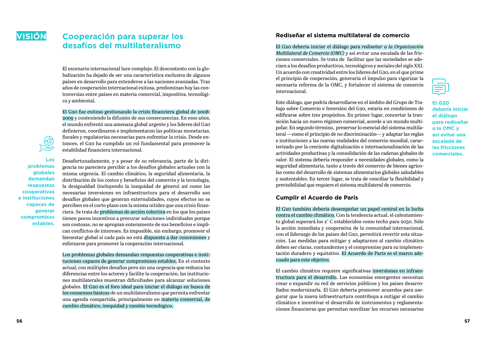

# **Cooperación para superar los desafíos del multilateralismo**

El escenario internacional luce complejo. El descontento con la globalización ha dejado de ser una característica exclusiva de algunos países en desarrollo para extenderse a las naciones avanzadas. Tras años de cooperación internacional exitosa, predominan hoy las controversias entre países en materia comercial, impositiva, tecnológica y ambiental.

El G20 fue exitoso gestionando la crisis financiera global de 2008- 2009 y conteniendo la difusión de sus consecuencias. En esos años, el mundo enfrentó una amenaza global urgente y los líderes del G20 definieron, coordinaron e implementaron las políticas monetarias, fiscales y regulatorias necesarias para enfrentar la crisis. Desde entonces, el G20 ha cumplido un rol fundamental para promover la estabilidad financiera internacional.

**Los problemas globales demandan respuestas cooperativas e instituciones capaces de generar compromisos estables.**

ၛၜ

Desafortunadamente, y a pesar de su relevancia, parte de la dirigencia no pareciera percibir a los desafíos globales actuales con la misma urgencia. El cambio climático, la seguridad alimentaria, la distribución de los costos y beneficios del comercio y la tecnología, la desigualdad (incluyendo la inequidad de género) así como las necesarias inversiones en infraestructura para el desarrollo son desafíos globales que generan externalidades, cuyos efectos no se perciben en el corto plazo con la misma nitidez que una crisis financiera. Se trata de problemas de acción colectiva en los que los países tienen pocos incentivos a procurar soluciones individuales porque son costosas, no se apropian enteramente de sus beneficios e implican conflictos de intereses. Es imposible, sin embargo, promover el bienestar global si cada país no está dispuesto a dar concesiones y esforzarse para promover la cooperación internacional.

Los problemas globales demandan respuestas cooperativas e instituciones capaces de generar compromisos estables. En el contexto actual, con múltiples desafíos pero sin una urgencia que reduzca las diferencias entre los actores y facilite la cooperación, las instituciones multilaterales muestran dificultades para alcanzar soluciones globales. El G20 es el foro ideal para iniciar el diálogo en busca de los consensos básicos de un multilateralismo que permita enfrentar una agenda compartida, principalmente en materia comercial, de cambio climático, inequidad y cambio tecnológico.

# **Rediseñar el sistema multilateral de comercio**

El G20 debería iniciar el diálogo para *rediseñar a la Organización* 

*Multilateral de Comercio (OMC)* y así evitar una escalada de las fricciones comerciales. Se trata de facilitar que las sociedades se adecúen a los desafíos productivos, tecnológicos y sociales del siglo XXI. Un acuerdo con creatividad entre los líderes del G20, en el que prime el principio de cooperación, generaría el impulso para vigorizar la necesaria reforma de la OMC, y fortalecer el sistema de comercio internacional.

**El G20 debería iniciar el diálogo para rediseñar a la OMC y así evitar una escalada de las fricciones comerciales.**

Este diálogo, que podría desarrollarse en el ámbito del Grupo de Trabajo sobre Comercio e Inversión del G20, estaría en condiciones de edificarse sobre tres propósitos. En primer lugar, concertar la transición hacia un nuevo régimen comercial, acorde a un mundo multipolar. En segundo término, preservar lo esencial del sistema multilateral —como el principio de no discriminación— y adaptar las reglas e instituciones a las nuevas realidades del comercio mundial, caracterizado por la creciente digitalización e internacionalización de las actividades productivas y la consolidación de las cadenas globales de valor. El sistema debería responder a necesidades globales, como la seguridad alimentaria, tanto a través del comercio de bienes agrícolas como del desarrollo de sistemas alimentarios globales saludables y sustentables. En tercer lugar, se trata de conciliar la flexibilidad y previsibilidad que requiere el sistema multilateral de comercio.

# **Cumplir el Acuerdo de París**

El G20 también debería desempeñar un papel central en la lucha contra el cambio climático. Con la tendencia actual, el calentamiento global superará los 2° C establecidos como techo para 2050. Sólo la acción inmediata y cooperativa de la comunidad internacional, con el liderazgo de los países del G20, permitirá revertir esta situación. Las medidas para mitigar y adaptarnos al cambio climático deben ser claras, contundentes y el compromiso para su implementación duradero y equitativo. El Acuerdo de París es el marco adecuado para este objetivo.

El cambio climático requiere significativas inversiones en infraestructura para el desarrollo**.** Las economías emergentes necesitan crear o expandir su red de servicios públicos y los países desarrollados modernizarla. El G20 debería promover acuerdos para asegurar que la nueva infraestructura contribuya a mitigar el cambio climático e incentivar el desarrollo de instrumentos y reglamentaciones financieras que permitan movilizar los recursos necesarios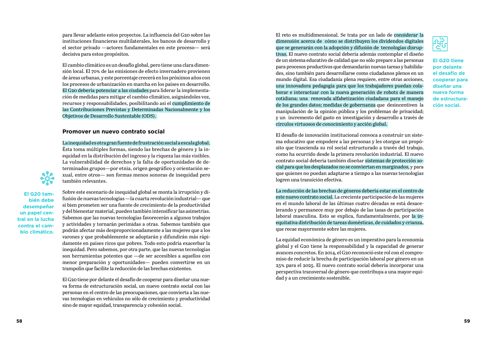para llevar adelante estos proyectos. La influencia del G20 sobre las instituciones financieras multilaterales, los bancos de desarrollo y el sector privado —actores fundamentales en este proceso— será decisiva para estos propósitos.

El cambio climático es un desafío global, pero tiene una clara dimensión local. El 70% de las emisiones de efecto invernadero provienen de áreas urbanas, y este porcentaje crecerá en los próximos años con los procesos de urbanización en marcha en los países en desarrollo. El G20 debería potenciar a las ciudades para liderar la implementación de medidas para mitigar el cambio climático, asignándoles voz, recursos y responsabilidades, posibilitando así el cumplimiento de las Contribuciones Previstas y Determinadas Nacionalmente y los Objetivos de Desarrollo Sustentable (ODS).

# **Promover un nuevo contrato social**

La inequidad es otra gran fuente de frustración social a escala global. Ésta toma múltiples formas, siendo las brechas de género y la inequidad en la distribución del ingreso y la riqueza las más visibles. La vulnerabilidad de derechos y la falta de oportunidades de determinados grupos—por etnia, origen geográfico y orientación sexual, entre otros— son formas menos sonoras de inequidad pero también relevantes.

a<sup>00</sup>00

**El G20 también debe desempeñar un papel central en la lucha contra el cambio climático.**

Sobre este escenario de inequidad global se monta la irrupción y difusión de nuevas tecnologías —la cuarta revolución industrial— que si bien prometen ser una fuente de crecimiento de la productividad y del bienestar material, pueden también intensificar las asimetrías. Sabemos que las nuevas tecnologías favorecerán a algunos trabajos y actividades y tornarán perimidas a otras. Sabemos también que podrán afectar más desproporcionadamente a las mujeres que a los varones y que probablemente se adoptarán y difundirán más rápidamente en países ricos que pobres. Todo esto podría exacerbar la inequidad. Pero sabemos, por otra parte, que las nuevas tecnologías son herramientas potentes que —de ser accesibles a aquellos con menor preparación y oportunidades— pueden convertirse en un trampolín que facilite la reducción de las brechas existentes.

El G20 tiene por delante el desafío de cooperar para diseñar una nueva forma de estructuración social, un nuevo contrato social con las personas en el centro de las preocupaciones, que convierta a las nuevas tecnologías en vehículos no sólo de crecimiento y productividad sino de mayor equidad, transparencia y cohesión social.

El reto es multidimensional. Se trata por un lado de considerar la dimensión acerca de cómo se distribuyen los dividendos digitales que se generarán con la adopción y difusión de tecnologías disruptivas. El nuevo contrato social debería además contemplar el diseño de un sistema educativo de calidad que no sólo prepare a las personas para procesos productivos que demandarán nuevas tareas y habilidades, sino también para desarrollarse como ciudadanos plenos en un mundo digital. Esa ciudadanía plena requiere, entre otras acciones, una innovadora pedagogía para que los trabajadores puedan colaborar e interactuar con la nueva generación de robots de manera cotidiana; una renovada alfabetización ciudadana para el manejo de los grandes datos; medidas de gobernanza que desincentiven la manipulación de la opinión pública y los problemas de privacidad; y un incremento del gasto en investigación y desarrollo a través de círculos virtuosos de conocimiento y acción global.



**El G20 tiene por delante el desafío de cooperar para diseñar una nueva forma de estructuración social.**

El desafío de innovación institucional convoca a construir un sistema educativo que empodere a las personas y les otorgue un propósito que trascienda su rol social estructurado a través del trabajo, como ha ocurrido desde la primera revolución industrial. El nuevo contrato social debería también diseñar sistemas de protección social para que los desplazados no se conviertan en marginados, y para que quienes no puedan adaptarse a tiempo a las nuevas tecnologías logren una transición efectiva.

La reducción de las brechas de géneros debería estar en el centro de este nuevo contrato social. La creciente participación de las mujeres en el mundo laboral de las últimas cuatro décadas se está desacelerando y permanece muy por debajo de las tasas de participación laboral masculina. Esto se explica, fundamentalmente, por la inequitativa distribución de tareas domésticas, de cuidados y crianza**,** que recae mayormente sobre las mujeres.

La equidad económica de género es un imperativo para la economía global y el G20 tiene la responsabilidad y la capacidad de generar avances concretos. En 2014, el G20 reconoció este rol con el compromiso de reducir la brecha de participación laboral por género en un 25% para el 2025. El nuevo contrato social debería incorporar una perspectiva transversal de género que contribuya a una mayor equidad y a un crecimiento sostenible.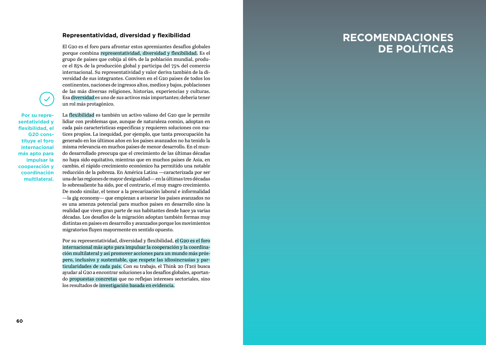# **Representatividad, diversidad y flexibilidad**

El G20 es el foro para afrontar estos apremiantes desafíos globales porque combina representatividad, diversidad y flexibilidad. Es el grupo de países que cobija al 66% de la población mundial, produ ce el 85% de la producción global y participa del 75% del comercio internacional. Su representatividad y valor deriva también de la di versidad de sus integrantes. Conviven en el G20 países de todos los continentes, naciones de ingresos altos, medios y bajos, poblaciones de las más diversas religiones, historias, experiencias y culturas. Esa diversidad es uno de sus activos más importantes; debería tener un rol más protagónico.

**Por su repre sentatividad y flexibilidad, el G20 constituye el foro internacional más apto para impulsar la cooperación y coordinación multilateral.** 

 $\checkmark$ 

La flexibilidad es también un activo valioso del G20 que le permite lidiar con problemas que, aunque de naturaleza común, adoptan en cada país características específicas y requieren soluciones con ma tices propios. La inequidad, por ejemplo, que tanta preocupación ha generado en los últimos años en los países avanzados no ha tenido la misma relevancia en muchos países de menor desarrollo. En el mun do desarrollado preocupa que el crecimiento de las últimas décadas no haya sido equitativo, mientras que en muchos países de Asia, en cambio, el rápido crecimiento económico ha permitido una notable reducción de la pobreza. En América Latina —caracterizada por ser una de las regiones de mayor desigualdad— en la últimas tres décadas lo sobresaliente ha sido, por el contrario, el muy magro crecimiento. De modo similar, el temor a la precarización laboral e informalidad —la gig economy— que empiezan a avisorar los países avanzados no es una amenza potencial para muchos países en desarrollo sino la realidad que viven gran parte de sus habitantes desde hace ya varias décadas. Los desafíos de la migración adoptan también formas muy distintas en países en desarrollo y avanzados porque los movimientos migratorios fluyen mayormente en sentido opuesto.

Por su representatividad, diversidad y flexibilidad, el G20 es el foro internacional más apto para impulsar la cooperación y la coordina ción multilateral y así promover acciones para un mundo más prós pero, inclusivo y sustentable, que respete las idiosincrasias y par ticularidades de cada país. Con su trabajo, el Think 20 (T20) busca ayudar al G20 a encontrar soluciones a los desafíos globales, aportan do propuestas concretas que no reflejan intereses sectoriales, sino los resultados de investigación basada en evidencia.

# **RECOMENDACIONES DE POLÍTICAS**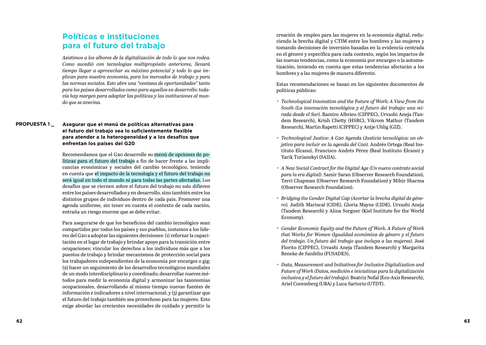# **Políticas e instituciones para el futuro del trabajo**

*Asistimos a los albores de la digitalización de todo lo que nos rodea. Como sucedió con tecnologías multipropósito anteriores, llevará tiempo llegar a aprovechar su máximo potencial y todo lo que im plican para nuestra economía, para los mercados de trabajo y para las normas sociales. Esto abre una "ventana de oportunidades" tanto para los países desarrollados como para aquellos en desarrollo: toda vía hay margen para adaptar las políticas y las instituciones al mun do que se avecina.* 

#### **Asegurar que el menú de políticas alternativas para el futuro del trabajo sea lo suficientemente flexible para atender a la heterogeneidad y a los desafíos que enfrentan los países del G20 PROPUESTA 1 \_**

Recomendamos que el G20 desarrolle su menú de opciones de po líticas para el futuro del trabajo a fin de hacer frente a las impli cancias económicas y sociales del cambio tecnológico, teniendo en cuenta que el impacto de la tecnología y el futuro del trabajo no será igual en todo el mundo ni para todas las partes afectadas. Los desafíos que se ciernen sobre el futuro del trabajo no solo difieren entre los países desarrollados y en desarrollo, sino también entre los distintos grupos de individuos dentro de cada país. Promover una agenda uniforme, sin tener en cuenta el contexto de cada nación, entraña un riesgo enorme que se debe evitar.

Para asegurarse de que los beneficios del cambio tecnológico sean compartidos por todos los países y sus pueblos, instamos a los líde res del G20 a adoptar las siguientes decisiones: (1) reforzar la capaci tación en el lugar de trabajo y brindar apoyo para la transición entre ocupaciones; vincular los derechos a los individuos más que a los puestos de trabajo y brindar mecanismos de protección social para los trabajadores independientes de la economía por encargos o gig; (2) hacer un seguimiento de los desarrollos tecnológicos mundiales de un modo interdisciplinario y coordinado; desarrollar nuevos mé todos para medir la economía digital y armonizar las taxonomías ocupacionales, desarrollando al mismo tiempo nuevas fuentes de información e indicadores a nivel internacional; y (3) garantizar que el futuro del trabajo también sea provechoso para las mujeres. Esto exige abordar las crecientes necesidades de cuidado y permitir la

creación de empleo para las mujeres en la economía digital, redu ciendo la brecha digital y CTIM entre los hombres y las mujeres y tomando decisiones de inversión basadas en la evidencia centrada en el género y específica para cada contexto, según los impactos de las nuevas tendencias, como la economía por encargos o la automa tización, teniendo en cuenta que estas tendencias afectarán a los hombres y a las mujeres de manera diferente.

Estas recomendaciones se basan en los siguientes documentos de políticas públicas:

- **•** *Technological Innovation and the Future of Work: A View from the South (La innovación tecnológica y el futuro del trabajo: una mi rada desde el Sur).* Ramiro Albrieu (CIPPEC), Urvashi Aneja (Tan dem Research), Krish Chetty (HSRC), Vikrom Mathur (Tandem Research), Martín Rapetti (CIPPEC) y Antje Uhlig (GIZ).
- **•** *Technological Justice: A G20 Agenda (Justicia tecnológica: un ob jetivo para incluir en la agenda del G20).* Andrés Ortega (Real Ins tituto Elcano), Francisco Andrés Pérez (Real Instituto Elcano) y Yarik Turianskyi (SAIIA).
- **•** *A New Social Contract for the Digital Age (Un nuevo contrato social para la era digital).* Samir Saran (Observer Research Foundation), Terri Chapman (Observer Research Foundation) y Mihir Sharma (Observer Research Foundation).
- **•** *Bridging the Gender Digital Gap (Acortar la brecha digital de géne ro).* Judith Mariscal (CIDE), Gloria Mayne (CIDE), Urvashi Aneja (Tandem Research) y Alina Sorgner (Kiel Institute for the World Economy).
- **•** *Gender Economic Equity and the Future of Work. A Future of Work that Works for Women (Igualdad económica de género y el futuro del trabajo. Un futuro del trabajo que incluya a las mujeres).* José Florito (CIPPEC), Urvashi Aneja (Tandem Research) y Margarita Beneke de Sanfeliu (FUSADES).
- **•** *Data, Measurement and Initiatives for Inclusive Digitalization and Future of Work (Datos, medición e iniciativas para la digitalización inclusiva y el futuro del trabajo).* Beatriz Nofal (Eco-Axis Research), Ariel Coremberg (UBA) y Luca Sartorio (UTDT).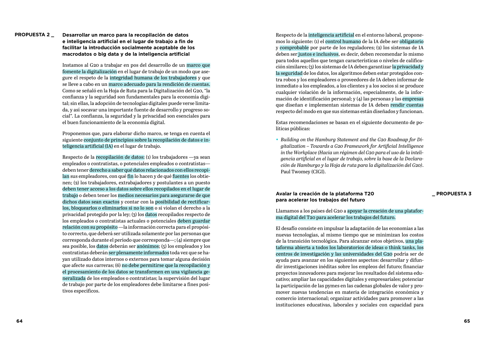**Desarrollar un marco para la recopilación de datos e inteligencia artificial en el lugar de trabajo a fin de facilitar la introducción socialmente aceptable de los macrodatos o big data y de la inteligencia artificial PROPUESTA 2** Desarrollar un marco para la recopilación de datos entrante a respecto de la inteligencia artificial en el entorno laboral, propone-

> Instamos al G20 a trabajar en pos del desarrollo de un marco que fomente la digitalización en el lugar de trabajo de un modo que asegure el respeto de la integridad humana de los trabajadores y que se lleve a cabo en un marco adecuado para la rendición de cuentas. Como se señaló en la Hoja de Ruta para la Digitalización del G20, "la confianza y la seguridad son fundamentales para la economía digital; sin ellas, la adopción de tecnologías digitales puede verse limitada, y así socavar una importante fuente de desarrollo y progreso social". La confianza, la seguridad y la privacidad son esenciales para el buen funcionamiento de la economía digital.

> Proponemos que, para elaborar dicho marco, se tenga en cuenta el siguiente conjunto de principios sobre la recopilación de datos e inteligencia artificial (IA) en el lugar de trabajo.

> Respecto de la recopilación de datos: (1) los trabajadores —ya sean empleados o contratistas, o potenciales empleados o contratistas deben tener derecho a saber qué datos relacionados con ellos recopilan sus empleadores, con qué fin lo hacen y de qué fuentes los obtienen; (2) los trabajadores, extrabajadores y postulantes a un puesto deben tener acceso a los datos sobre ellos recopilados en el lugar de trabajo o deben tener los medios necesarios para asegurarse de que dichos datos sean exactos y contar con la posibilidad de rectificarlos, bloquearlos o eliminarlos si no lo son o si violan el derecho a la privacidad protegido por la ley; (3) los datos recopilados respecto de los empleados o contratistas actuales o potenciales deben guardar relación con su propósito —la información correcta para el propósito correcto, que deberá ser utilizada solamente por las personas que corresponda durante el período que corresponda—; (4) siempre que sea posible, los datos deberán ser anónimos; (5) los empleados y los contratistas deberán ser plenamente informados toda vez que se hayan utilizado datos internos o externos para tomar alguna decisión que afecte sus carreras; (6) no debe permitirse que la recopilación y el procesamiento de los datos se transformen en una vigilancia generalizada de los empleados o contratistas; la supervisión del lugar de trabajo por parte de los empleadores debe limitarse a fines positivos específicos.

mos lo siguiente: (1) el control humano de la IA debe ser obligatorio y comprobable por parte de los reguladores; (2) los sistemas de IA deben ser justos e inclusivos, es decir, deben recomendar lo mismo para todos aquellos que tengan características o niveles de calificación similares; (3) los sistemas de IA deben garantizar la privacidad y la seguridad de los datos, los algoritmos deben estar protegidos contra robos y los empleadores o proveedores de IA deben informar de inmediato a los empleados, a los clientes y a los socios si se produce cualquier violación de la información, especialmente, de la información de identificación personal; y (4) las personas y las empresas que diseñan e implementan sistemas de IA deben rendir cuentas respecto del modo en que sus sistemas están diseñados y funcionan.

Estas recomendaciones se basan en el siguiente documento de políticas públicas:

**•** *Building on the Hamburg Statement and the G20 Roadmap for Digitalization – Towards a G20 Framework for Artificial Intelligence in the Workplace (Hacia un régimen del G20 para el uso de la inteligencia artificial en el lugar de trabajo, sobre la base de la Declaración de Hamburgo y la Hoja de ruta para la digitalización del G20)*. Paul Twomey (CIGI).

## **Avalar la creación de la plataforma T20 para acelerar los trabajos del futuro**

**\_ PROPUESTA 3**

### Llamamos a los países del G20 a apoyar la creación de una plataforma digital del T20 para acelerar los trabajos del futuro.

El desafío consiste en impulsar la adaptación de las economías a las nuevas tecnologías, al mismo tiempo que se minimizan los costos de la transición tecnológica. Para alcanzar estos objetivos, una plataforma abierta a todos los laboratorios de ideas o think tanks, los centros de investigación y las universidades del G20 podría ser de ayuda para avanzar en los siguientes aspectos: desarrollar y difundir investigaciones inéditas sobre los empleos del futuro; financiar proyectos innovadores para mejorar los resultados del sistema educativo; ampliar las capacidades digitales y empresariales; potenciar la participación de las pymes en las cadenas globales de valor y promover nuevas tendencias en materia de integración económica y comercio internacional; organizar actividades para promover a las instituciones educativas, laborales y sociales con capacidad para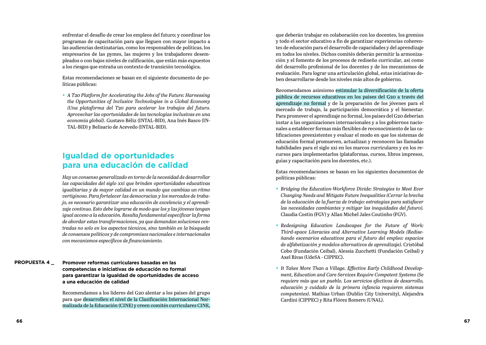enfrentar el desafío de crear los empleos del futuro; y coordinar los programas de capacitación para que lleguen con mayor impacto a las audiencias destinatarias, como los responsables de políticas, los empresarios de las pymes, las mujeres y los trabajadores desem pleados o con bajos niveles de calificación, que están más expuestos a los riesgos que entraña un contexto de transición tecnológica.

Estas recomendaciones se basan en el siguiente documento de po líticas públicas:

**•** *A T20 Platform for Accelerating the Jobs of the Future: Harnessing the Opportunities of Inclusive Technologies in a Global Economy (Una plataforma del T20 para acelerar los trabajos del futuro. Aprovechar las oportunidades de las tecnologías inclusivas en una economía global)*. Gustavo Béliz (INTAL-BID), Ana Inés Basco (IN - TAL-BID) y Belisario de Acevedo (INTAL-BID).

# **Igualdad de oportunidades para una educación de calidad**

*Hay un consenso generalizado en torno de la necesidad de desarrollar las capacidades del siglo xxi que brinden oportunidades educativas igualitarias y de mayor calidad en un mundo que cambiaa un ritmo vertiginoso. Para fortalecer las democracias y los mercados de traba jo, es necesario garantizar una educación de excelencia y el aprendi zaje continuo. Esto debe lograrse de modo que los y las jóvenes tengan igual acceso a la educación. Resulta fundamental especificar la forma de abordar estas transformaciones, ya que demandan soluciones cen tradas no solo en los aspectos técnicos, sino también en la búsqueda de consensos políticos y de compromisos nacionales e internacionales con mecanismos específicos de financiamiento.* 

#### **Promover reformas curriculares basadas en las competencias e iniciativas de educación no formal para garantizar la igualdad de oportunidades de acceso a una educación de calidad PROPUESTA 4 \_**

Recomendamos a los líderes del G20 alentar a los países del grupo para que desarrollen el nivel de la Clasificación Internacional Nor malizada de la Educación (CINE) y creen comités curriculares CINE,

que deberán trabajar en colaboración con los docentes, los gremios y todo el sector educativo a fin de garantizar experiencias coheren tes de educación para el desarrollo de capacidades y del aprendizaje en todos los niveles. Dichos comités deberán permitir la armoniza ción y el fomento de los procesos de rediseño curricular, así como del desarrollo profesional de los docentes y de los mecanismos de evaluación. Para lograr una articulación global, estas iniciativas de ben desarrollarse desde los niveles más altos de gobierno.

Recomendamos asimismo estimular la diversificación de la oferta pública de recursos educativos en los países del G20 a través del aprendizaje no formal y de la preparación de los jóvenes para el mercado de trabajo, la participación democrática y el bienestar. Para promover el aprendizaje no formal, los países del G20 deberían instar a las organizaciones internacionales y a los gobiernos nacio nales a establecer formas más flexibles de reconocimiento de las ca lificaciones preexistentes y evaluar el modo en que los sistemas de educación formal promueven, actualizan y reconocen las llamadas habilidades para el siglo xxi en los marcos curriculares y en los re cursos para implementarlos (plataformas, cursos, libros impresos, guías y capacitación para los docentes, etc.).

Estas recomendaciones se basan en los siguientes documentos de políticas públicas:

- **•** *Bridging the Education-Workforce Divide: Strategies to Meet Ever Changing Needs and Mitigate Future Inequalities (Cerrar la brecha de la educación de la fuerza de trabajo: estrategias para satisfacer las necesidades cambiantes y mitigar las inequidades del futuro).* Claudia Costin (FGV) y Allan Michel Jales Coutinho (FGV).
- **•** *Redesigning Education Landscapes for the Future of Work: Third-space Literacies and Alternative Learning Models (Redise ñando escenarios educativos para el futuro del empleo: espacios de alfabetización y modelos alternativos de aprendizaje).* Cristóbal Cobo (Fundación Ceibal), Alessia Zucchetti (Fundación Ceibal) y Axel Rivas (UdeSA - CIPPEC).
- **•** *It Takes More Than a Village. Effective Early Childhood Develop ment, Education and Care Services Require Competent Systems (Se requiere más que un pueblo. Los servicios efectivos de desarrollo, educación y cuidado de la primera infancia requieren sistemas competentes)*. Mathias Urban (Dublin City University), Alejandra Cardini (CIPPEC) y Rita Flórez Romero (UNAL).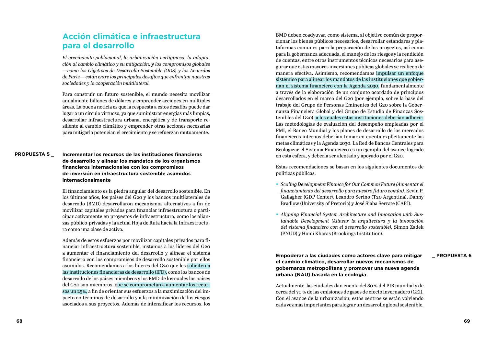# **Acción climática e infraestructura para el desarrollo**

*El crecimiento poblacional, la urbanización vertiginosa, la adaptación al cambio climático y su mitigación, y los compromisos globales —como los Objetivos de Desarrollo Sostenible (ODS) y los Acuerdos de París— están entre los principales desafíos que enfrentan nuestras sociedades y la cooperación multilateral.*

Para construir un futuro sostenible, el mundo necesita movilizar anualmente billones de dólares y emprender acciones en múltiples áreas. La buena noticia es que la respuesta a estos desafíos puede dar lugar a un círculo virtuoso, ya que suministrar energías más limpias, desarrollar infraestructura urbana, energética y de transporte resiliente al cambio climático y emprender otras acciones necesarias para mitigarlo potencian el crecimiento y se refuerzan mutuamente.

#### **Incrementar los recursos de las instituciones financieras de desarrollo y alinear los mandatos de los organismos financieros internacionales con los compromisos de inversión en infraestructura sostenible asumidos internacionalmente PROPUESTA 5 \_**

El financiamiento es la piedra angular del desarrollo sostenible. En los últimos años, los países del G20 y los bancos multilaterales de desarrollo (BMD) desarrollaron mecanismos alternativos a fin de movilizar capitales privados para financiar infraestructura o participar activamente en proyectos de infraestructura, como las alianzas público-privadas y la actual Hoja de Ruta hacia la Infraestructura como una clase de activo.

Además de estos esfuerzos por movilizar capitales privados para financiar infraestructura sostenible, instamos a los líderes del G20 a aumentar el financiamiento del desarrollo y alinear el sistema financiero con los compromisos de desarrollo sostenible por ellos asumidos. Recomendamos a los líderes del G20 que les soliciten a las instituciones financieras de desarrollo (IFD), como los bancos de desarrollo de los países miembros y los BMD de los cuales los países del G20 son miembros, que se comprometan a aumentar los recursos un 25%, a fin de orientar sus esfuerzos a la maximización del impacto en términos de desarrollo y a la minimización de los riesgos asociados a sus proyectos. Además de intensificar los recursos, los BMD deben coadyuvar, como sistema, al objetivo común de proporcionar los bienes públicos necesarios, desarrollar estándares y plataformas comunes para la preparación de los proyectos, así como para la gobernanza adecuada, el manejo de los riesgos y la rendición de cuentas, entre otros instrumentos técnicos necesarios para asegurar que estas mayores inversiones públicas globales se realicen de manera efectiva. Asimismo, recomendamos impulsar un enfoque sistémico para alinear los mandatos de las instituciones que gobiernan el sistema financiero con la Agenda 2030, fundamentalmente a través de la elaboración de un conjunto acordado de principios desarrollados en el marco del G20 (por ejemplo, sobre la base del trabajo del Grupo de Personas Eminentes del G20 sobre la Gobernanza Financiera Global y del Grupo de Estudio de Finanzas Sostenibles del G20), a los cuales estas instituciones deberían adherir. Las metodologías de evaluación del desempeño empleadas por el FMI, el Banco Mundial y los planes de desarrollo de los mercados financieros internos deberían tomar en cuenta explícitamente las metas climáticas y la Agenda 2030. La Red de Bancos Centrales para Ecologizar el Sistema Financiero es un ejemplo del avance logrado en esta esfera, y debería ser alentado y apoyado por el G20.

Estas recomendaciones se basan en los siguientes documentos de políticas públicas:

- **•** *Scaling Development Finance for Our Common Future (Aumentar el financiamiento del desarrollo para nuestro futuro común).* Kevin P. Gallagher (GDP Center), Leandro Serino (T20 Argentina), Danny Bradlow (University of Pretoria) y José Siaba Serrate (CARI).
- **•** *Aligning Financial System Architecture and Innovation with Sustainable Development (Alinear la arquitectura y la innovación del sistema financiero con el desarrollo sostenible),* Simon Zadek (PNUD) y Homi Kharas (Brookings Institution).

**Empoderar a las ciudades como actores clave para mitigar el cambio climático, desarrollar nuevos mecanismos de gobernanza metropolitana y promover una nueva agenda urbana (NAU) basada en la ecología \_ PROPUESTA 6**

Actualmente, las ciudades dan cuenta del 80 % del PIB mundial y de cerca del 70 % de las emisiones de gases de efecto invernadero (GEI). Con el avance de la urbanización, estos centros se están volviendo cada vez más importantes para lograr un desarrollo global sostenible.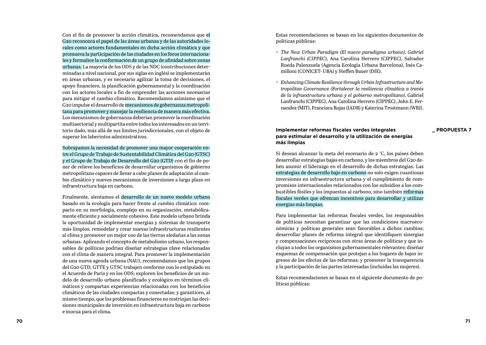Con el fin de promover la acción climática, recomendamos que el G20 reconozca el papel de las áreas urbanas y de las autoridades lo cales como actores fundamentales en dicha acción climática y que promueva la participación de las ciudades en los foros internaciona les y formalice la conformación de un grupo de afinidad sobre zonas urbanas. La mayoría de los ODS y de las NDC (contribuciones deter minadas a nivel nacional, por sus siglas en inglés) se implementarán en áreas urbanas, y es necesario agilizar la toma de decisiones, el apoyo financiero, la planificación gubernamental y la coordinación con los actores locales a fin de emprender las acciones necesarias para mitigar el cambio climático. Recomendamos asimismo que el G20 impulse el desarrollo de mecanismos de gobernanza metropoli tana para promover y manejar la resiliencia de manera más efectiva. Los mecanismos de gobernanza deberían promover la coordinación multisectorial y multipartita entre todos los interesados en un terri torio dado, más allá de sus límites jurisdiccionales, con el objeto de superar los laberintos administrativos.

Subrayamos la necesidad de promover una mayor cooperación en tre el Grupo de Trabajo de Sustentabilidad Climática del G20 (GTSC) y el Grupo de Trabajo de Desarrollo del G20 (GTD) con el fin de po ner de relieve los beneficios de desarrollar organismos de gobierno metropolitano capaces de llevar a cabo planes de adaptación al cam bio climático y nuevos mecanismos de inversiones a largo plazo en infraestructura baja en carbono.

Finalmente, alentamos el desarrollo de un nuevo modelo urbano basado en la ecología para hacer frente al cambio climático: com pacto en su morfología, complejo en su organización, metabólica mente eficiente y socialmente cohesivo. Este modelo urbano brinda la oportunidad de implementar energías y sistemas de transporte más limpios, remodelar y crear nuevas infraestructuras resilientes al clima y promover un mejor uso de las tierras aledañas a las zonas urbanas. Aplicando el concepto de metabolismo urbano, los respon sables de políticas podrían diseñar estrategias clave relacionadas con el clima de manera integral. Para promover la implementación de una nueva agenda urbana (NAU), recomendamos que los grupos del G20 GTD, GTTE y GTSC trabajen conforme con lo estipulado en el Acuerdo de París y en los ODS; exploren los beneficios de un mo delo de desarrollo urbano planificado y ecológico en términos cli máticos y compartan experiencias relacionadas con los beneficios climáticos de las ciudades compactas y conectadas; y garanticen, al mismo tiempo, que los problemas financieros no restrinjan las deci siones municipales de inversión en infraestructura baja en carbono e inocua para el clima.

Estas recomendaciones se basan en los siguientes documentos de políticas públicas:

- **•** *The New Urban Paradigm (El nuevo paradigma urbano). Gabriel Lanfranchi (CIPPEC),* Ana Carolina Herrero (CIPPEC), Salvador Rueda Palenzuela (Agencia Ecología Urbana Barcelona), Inés Ca milloni (CONICET- UBA) y Steffen Bauer (DIE).
- **•** *Enhancing Climate Resilience through Urban Infrastructure and Me tropolitan Governance (Fortalecer la resiliencia climática a través de la infraestructura urbana y el gobierno metropolitano).* Gabriel Lanfranchi (CIPPEC), Ana Carolina Herrero (CIPPEC), John E. Fer nandez (MIT), Francisca Rojas (IADB) y Katerina Trostmann (WRI).

### **Implementar reformas fiscales verdes integrales para estimular el desarrollo y la utilización de energías más limpias**

**\_ PROPUESTA 7**

Si desean alcanzar la meta del escenario de 2 °C, los países deben desarrollar estrategias bajas en carbono, y los miembros del G20 de ben asumir el liderazgo en el desarrollo de dichas estrategias. Las estrategias de desarrollo bajo en carbono no solo exigen cuantiosas inversiones en infraestructura urbana y el cumplimiento de com promisos internacionales relacionados con los subsidios a los com bustibles fósiles y los impuestos al carbono, sino también reformas fiscales verdes que ofrezcan incentivos para desarrollar y utilizar energías más limpias.

Para implementar las reformas fiscales verdes, los responsables de políticas necesitan garantizar que las condiciones macroeco nómicas y políticas generales sean favorables a dichos cambios; desarrollar planes de reforma integral que identifiquen sinergias y compensaciones recíprocas con otras áreas de políticas y que in cluyan a todos los organismos gubernamentales relevantes; diseñar esquemas de compensación que protejan a los hogares de bajos in gresos de los efectos de las reformas; y promover la transparencia y la participación de las partes interesadas (incluidas las mujeres).

Estas recomendaciones se basan en el siguiente documento de po líticas públicas: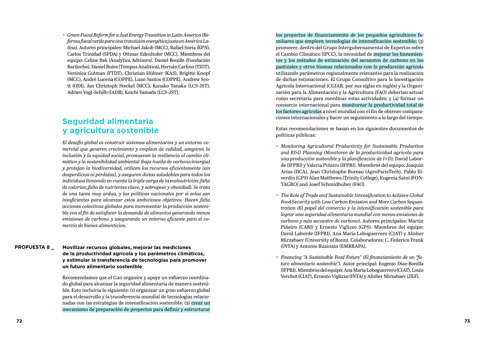*forma fiscal verde para una transición energética justa en América Latina).* Autores principales: Michael Jakob (MCC), Rafael Soria (EPN), Carlos Trinidad (SPDA) y Ottmar Edenhofer (MCC). Miembros del equipo: Celine Bak (Analytica Advisors), Daniel Bouille (Fundación Bariloche), Daniel Buira (Tempus Analítica), Hernán Carlino (TIDT), Verónica Gutman (FTDT), Christian Hübner (KAS), Brigitte Knopf (MCC), André Lucena (COPPE), Luan Santos (COPPE), Andrew Sco tt (ODI), Jan Christoph Steckel (MCC), Kanako Tanaka (LCS-JST), Adrien Vogt-Schilb (IADB), Koichi Yamada (LCS-JST).

# **Seguridad alimentaria y agricultura sostenible**

**7** *Carrier Fiscal Reformation International Carrier Control international Carrier Control international Carrier Control international Carrier Control international Carrier Control international Carrier Control internat El desafío global es construir sistemas alimentarios y un entorno co mercial que generen crecimiento y empleos de calidad, aseguren la inclusión y la equidad social, promuevan la resiliencia al cambio cli mático y la sostenibilidad ambiental (baja huella de carbono/energía) y protejan la biodiversidad, utilicen los recursos eficientemente (sin desperdicios ni pérdidas), y aseguren dietas saludables para todos los individuos (teniendo en cuenta la triple carga de la malnutrición: falta de calorías, falta de nutrientes clave, y sobrepeso y obesidad). Se trata de una tarea muy ardua, y las políticas nacionales por sí solas son insuficientes para alcanzar estos ambiciosos objetivos. Hacen falta acciones colectivas globales para incrementar la producción sosteni ble con el fin de satisfacer la demanda de alimentos generando menos emisiones de carbono y asegurando un entorno eficiente para el co mercio de bienes alimenticios.*

#### **Movilizar recursos globales, mejorar las mediciones de la productividad agrícola y los parámetros climáticos, y estimular la transferencia de tecnologías para promover un futuro alimentario sostenible PROPUESTA 8 \_**

Recomendamos que el G20 organice y apoye un esfuerzo coordina do global para alcanzar la seguridad alimentaria de manera sosteni ble. Esto incluiría lo siguiente: (1) organizar un gran esfuerzo global para el desarrollo y la transferencia mundial de tecnologías relacio nadas con las estrategias de intensificación sostenible; (2) crear un mecanismo de preparación de proyectos para definir y estructurar

los proyectos de financiamiento de los pequeños agricultores fa miliares que empleen tecnologías de intensificación sostenible; (3) promover, dentro del Grupo Intergubernamental de Expertos sobre el Cambio Climático (IPCC), la necesidad de <mark>mej</mark>orar los lineamientos y los métodos de estimación del secuestro de carbono en los pastizales y otros biomas relacionados con la producción agrícola utilizando parámetros regionalmente relevantes para la realización de dichas estimaciones. El Grupo Consultivo para la Investigación Agrícola Internacional (CGIAR, por sus siglas en inglés) y la Organi zación para la Alimentación y la Agricultura (FAO) deberían actuar como secretaría para coordinar estas actividades; y (4) formar un consorcio internacional para monitorear la productividad total de los factores agrícolas a nivel mundial con el fin de obtener compara ciones internacionales y hacer un seguimiento a lo largo del tiempo.

Estas recomendaciones se basan en los siguientes documentos de políticas públicas:

- **•** *Monitoring Agricultural Productivity for Sustainable Production and R&D Planning (Monitoreo de la productividad agrícola para una producción sostenible y la planificación de I+D);* David Labor de (IFPRI) y Valeria Piñeiro (IFPRI). Miembros del equipo: Joaquín Arias (IICA), Jean Christophe Bureau (AgroParisTech), Pablo El verdin (GPS) Alan Matthews (Trinity College), Eugenia Saini (FON - TAGRO) and Josef Schmidhuber (FAO).
- **•** *The Role of Trade and Sustainable Intensification to Achieve Global Food Security with Less Carbon Emission and More Carbon Seques tration (El papel del comercio y la intensificación sostenible para lograr una seguridad alimentaria mundial con menos emisiones de carbono y más secuestro de carbono).* Autores principales: Martín Piñeiro (CARI) y Ernesto Viglizzo (GPS). Miembros del equipo: David Laborde (IFPRI), Ana María Loboguerrero (CIAT) y Alisher Mirzabaev (University of Bonn). Colaboradores: C. Federico Frank (INTA) y Antonio Buainain (EMBRAPA).
- **•** *Financing "A Sustainable Food Future" (El financiamiento de un "fu turo alimentario sostenible").* Autor principal: Eugenio Diaz-Bonilla (IFPRI). Miembros del equipo: Ana Maria Loboguerrero (CIAT), Louis Verchot (CIAT), Ernesto Viglizzo (INTA) y Alisher Mirzabaev (ZEF).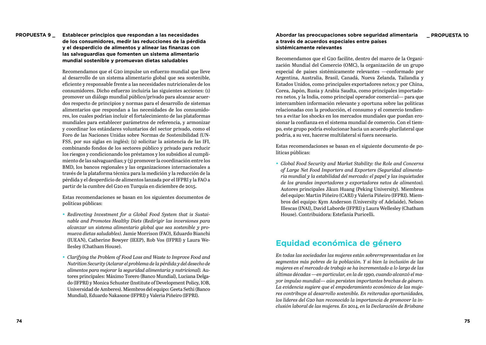#### **Establecer principios que respondan a las necesidades de los consumidores, medir las reducciones de la pérdida y el desperdicio de alimentos y alinear las finanzas con las salvaguardias que fomenten un sistema alimentario mundial sostenible y promuevan dietas saludables PROPUESTA 9 \_ Abordar las preocupaciones sobre seguridad alimentaria**

Recomendamos que el G20 impulse un esfuerzo mundial que lleve al desarrollo de un sistema alimentario global que sea sostenible, eficiente y responsable frente a las necesidades nutricionales de los consumidores. Dicho esfuerzo incluiría las siguientes acciones: (1) promover un diálogo mundial público/privado para alcanzar acuerdos respecto de principios y normas para el desarrollo de sistemas alimentarios que respondan a las necesidades de los consumidores, los cuales podrían incluir el fortalecimiento de las plataformas mundiales para establecer parámetros de referencia, y armonizar y coordinar los estándares voluntarios del sector privado, como el Foro de las Naciones Unidas sobre Normas de Sostenibilidad (UN-FSS, por sus siglas en inglés); (2) solicitar la asistencia de las IFI, combinando fondos de los sectores público y privado para reducir los riesgos y condicionando los préstamos y los subsidios al cumplimiento de las salvaguardias; y (3) promover la coordinación entre los BMD, los bancos regionales y las organizaciones internacionales a través de la plataforma técnica para la medición y la reducción de la pérdida y el desperdicio de alimentos lanzada por el IFPRI y la FAO a partir de la cumbre del G20 en Turquía en diciembre de 2015.

Estas recomendaciones se basan en los siguientes documentos de políticas públicas:

- **•** *Redirecting Investment for a Global Food System that is Sustainable and Promotes Healthy Diets (Redirigir las inversiones para alcanzar un sistema alimentario global que sea sostenible y promueva dietas saludables).* Jamie Morrison (FAO), Eduardo Bianchi (IUEAN), Catherine Bowyer (IEEP), Rob Vos (IFPRI) y Laura Wellesley (Chatham House).
- **•** *Clarifying the Problem of Food Loss and Waste to Improve Food and Nutrition Security (Aclarar el problema de la pérdida y del desecho de alimentos para mejorar la seguridad alimentaria y nutricional).* Autores principales: Máximo Torero (Banco Mundial), Luciana Delgado (IFPRI) y Monica Schuster (Institute of Development Policy, IOB, Universidad de Amberes). Miembros del equipo: Geeta Sethi (Banco Mundial), Eduardo Nakasone (IFPRI) y Valeria Piñeiro (IFPRI).

### **a través de acuerdos especiales entre países sistémicamente relevantes \_ PROPUESTA 10**

Recomendamos que el G20 facilite, dentro del marco de la Organización Mundial del Comercio (OMC), la organización de un grupo especial de países sistémicamente relevantes —conformado por Argentina, Australia, Brasil, Canadá, Nueva Zelanda, Tailandia y Estados Unidos, como principales exportadores netos; y por China, Corea, Japón, Rusia y Arabia Saudta, como principales importadores netos, y la India, como principal operador comercial— para que intercambien información relevante y oportuna sobre las políticas relacionadas con la producción, el consumo y el comercio tendientes a evitar los shocks en los mercados mundiales que puedan erosionar la confianza en el sistema mundial de comercio. Con el tiempo, este grupo podría evolucionar hacia un acuerdo plurilateral que podría, a su vez, hacerse multilateral si fuera necesario.

Estas recomendaciones se basan en el siguiente documento de políticas públicas:

**•** *Global Food Security and Market Stability: the Role and Concerns of Large Net Food Importers and Exporters (Seguridad alimentaria mundial y la estabilidad del mercado: el papel y las inquietudes de los grandes importadores y exportadores netos de alimentos).* Autores principales Jikun Huang (Peking University). Miembros del equipo: Martin Piñeiro (CARI) y Valeria Piñeiro (IFPRI). Miembros del equipo: Kym Anderson (University of Adelaide), Nelson Illescas (INAI), David Laborde (IFPRI) y Laura Wellesley (Chatham House). Contribuidora: Estefanía Puricelli.

# **Equidad económica de género**

*En todas las sociedades las mujeres están sobrerrepresentadas en los segmentos más pobres de la población. Y si bien la inclusión de las mujeres en el mercado de trabajo se ha incrementado a lo largo de las últimas décadas —en particular, en la de 1990, cuando alcanzó el mayor impulso mundial— aún persisten importantes brechas de género. La evidencia sugiere que el empoderamiento económico de las mujeres contribuye al desarrollo sostenible. En reiteradas oportunidades, los líderes del G20 han reconocido la importancia de promover la inclusión laboral de las mujeres. En 2014, en la Declaración de Brisbane*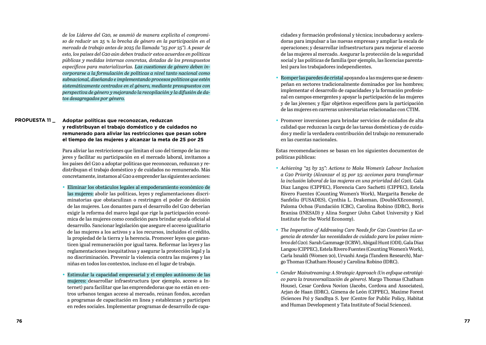*de los Líderes del G20, se asumió de manera explícita el compromi so de reducir un 25 % la brecha de género en la participación en el mercado de trabajo antes de 2025 (la llamada "25 por 25"). A pesar de esto, los países del G20 aún deben traducir estos acuerdos en políticas públicas y medidas internas concretas, dotadas de los presupuestos específicos para materializarlas. Las cuestiones de género deben in corporarse a la formulación de políticas a nivel tanto nacional como subnacional, diseñando e implementando procesos políticos que estén sistemáticamente centrados en el género, mediante presupuestos con perspectiva de género y mejorando la recopilación y la difusión de da tos desagregados por género.*

#### **Adoptar políticas que reconozcan, reduzcan y redistribuyan el trabajo doméstico y de cuidados no remunerado para aliviar las restricciones que pesan sobre el tiempo de las mujeres y alcanzar la meta de 25 por 25 PROPUESTA 11 \_**

Para aliviar las restricciones que limitan el uso del tiempo de las mu jeres y facilitar su participación en el mercado laboral, invitamos a los países del G20 a adoptar políticas que reconozcan, reduzcan y re distribuyan el trabajo doméstico y de cuidados no remunerado. Más concretamente, instamos al G20 a emprender las siguientes acciones:

- **•** Eliminar los obstáculos legales al empoderamiento económico de las mujeres: abolir las políticas, leyes y reglamentaciones discri minatorias que obstaculizan o restringen el poder de decisión de las mujeres. Los donantes para el desarrollo del G20 deberían exigir la reforma del marco legal que rige la participación econó mica de las mujeres como condición para brindar ayuda oficial al desarrollo. Sancionar legislación que asegure el acceso igualitario de las mujeres a los activos y a los recursos, incluidos el crédito, la propiedad de la tierra y la herencia. Promover leyes que garan ticen igual remuneración por igual tarea. Reformar las leyes y las reglamentaciones inequitativas y asegurar la protección legal y la no discriminación. Prevenir la violencia contra las mujeres y las niñas en todos los contextos, incluso en el lugar de trabajo.
- **•** Estimular la capacidad empresarial y el empleo autónomo de las mujeres: desarrollar infraestructura (por ejemplo, acceso a In ternet) para facilitar que las emprendedoras que no están en cen tros urbanos tengan acceso al mercado, reúnan fondos, accedan a programas de capacitación en línea y establezcan y participen en redes sociales. Implementar programas de desarrollo de capa -

cidades y formación profesional y técnica; incubadoras y acelera doras para impulsar a las nuevas empresas y ampliar la escala de operaciones; y desarrollar infraestructura para mejorar el acceso de las mujeres al mercado. Asegurar la protección de la seguridad social y las políticas de familia (por ejemplo, las licencias parenta les) para los trabajadores independientes.

- **•** Romper las paredes de cristal apoyando a las mujeres que se desem peñan en sectores tradicionalmente dominados por los hombres; implementar el desarrollo de capacidades y la formación profesio nal en campos emergentes y apoyar la participación de las mujeres y de las jóvenes; y fijar objetivos específicos para la participación de las mujeres en carreras universitarias relacionadas con CTIM.
- **•** Promover inversiones para brindar servicios de cuidados de alta calidad que reduzcan la carga de las tareas domésticas y de cuida dos y medir la verdadera contribución del trabajo no remunerado en las cuentas nacionales.

Estas recomendaciones se basan en los siguientes documentos de políticas públicas:

- **•** *Achieving "25 by 25": Actions to Make Women's Labour Inclusion a G20 Priority (Alcanzar el 25 por 25: acciones para transformar la inclusión laboral de las mujeres en una prioridad del G20*). Gala Díaz Langou (CIPPEC), Florencia Caro Sachetti (CIPPEC), Estela Rivero Fuentes (Counting Women's Work), Margarita Beneke de Sanfeliu (FUSADES), Cynthia L. Drakeman, (DoubleXEconomy), Paloma Ochoa (Fundación ICBC), Carolina Robino (IDRC), Boris Branisa (INESAD) y Alina Sorgner (John Cabot University y Kiel Institute for the World Economy).
- **•** *The Imperative of Addressing Care Needs for G20 Countries (La ur gencia de atender las necesidades de cuidado para los países miem bros del G20).* Sarah Gammage (ICRW), Abigail Hunt (ODI), Gala Díaz Langou (CIPPEC), Estela Rivero Fuentes (Counting Women's Work), Carla Isnaldi (Women 20), Urvashi Aneja (Tandem Research), Mar go Thomas (Chatham House) y Carolina Robino (IDRC).
- **•** *Gender Mainstreaming: A Strategic Approach (Un enfoque estratégi co para la transversalización de género).* Margo Thomas (Chatham House), Cesar Cordova Novion (Jacobs, Cordova and Associates), Arjan de Haan (IDRC), Gimena de León (CIPPEC), Maxime Forest (Sciences Po) y Sandhya S. Iyer (Centre for Public Policy, Habitat and Human Development y Tata Institute of Social Sciences).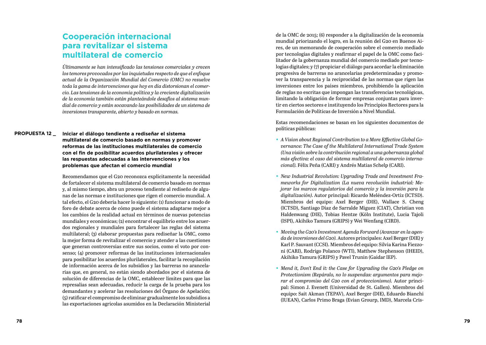# **Cooperación internacional para revitalizar el sistema multilateral de comercio**

*Últimamente se han intensificado las tensiones comerciales y crecen los temores provocados por las inquietudes respecto de que el enfoque actual de la Organización Mundial del Comercio (OMC) no resuelve toda la gama de intervenciones que hoy en día distorsionan el comer cio. Las tensiones de la economía política y la creciente digitalización de la economía también están planteándole desafíos al sistema mun dial de comercio y están socavando las posibilidades de un sistema de inversiones transparente, abierto y basado en normas.* 

**Iniciar el diálogo tendiente a rediseñar el sistema PROPUESTA 12 \_ multilateral de comercio basado en normas y promover reformas de las instituciones multilaterales de comercio con el fin de posibilitar acuerdos plurilaterales y ofrecer las respuestas adecuadas a las intervenciones y los problemas que afectan el comercio mundial**

> Recomendamos que el G20 reconozca explícitamente la necesidad de fortalecer el sistema multilateral de comercio basado en normas y, al mismo tiempo, abra un proceso tendiente al rediseño de algu nas de las normas e instituciones que rigen el comercio mundial. A tal efecto, el G20 debería hacer lo siguiente: (1) funcionar a modo de foro de debate acerca de cómo puede el sistema adaptarse mejor a los cambios de la realidad actual en términos de nuevas potencias mundiales y económicas; (2) encontrar el equilibrio entre los acuer dos regionales y mundiales para fortalecer las reglas del sistema multilateral; (3) elaborar propuestas para rediseñar la OMC, como la mejor forma de revitalizar el comercio y atender a las cuestiones que generan controversias entre sus socios, como el voto por con senso; (4) promover reformas de las instituciones internacionales para posibilitar los acuerdos plurilaterales, facilitar la recopilación de información acerca de los subsidios y las barreras no arancela rias que, en general, no están siendo abordados por el sistema de solución de diferencias de la OMC, establecer límites para que las represalias sean adecuadas, reducir la carga de la prueba para los demandantes y acelerar las resoluciones del Órgano de Apelación; (5) ratificar el compromiso de eliminar gradualmente los subsidios a las exportaciones agrícolas asumidos en la Declaración Ministerial

de la OMC de 2015; (6) responder a la digitalización de la economía mundial priorizando el logro, en la reunión del G20 en Buenos Ai res, de un memorando de cooperación sobre el comercio mediado por tecnologías digitales y reafirmar el papel de la OMC como faci litador de la gobernanza mundial del comercio mediado por tecno logías digitales; y (7) propiciar el diálogo para acordar la eliminación progresiva de barreras no arancelarias predeterminadas y promo ver la transparencia y la reciprocidad de las normas que rigen las inversiones entre los países miembros, prohibiendo la aplicación de reglas no escritas que impongan las transferencias tecnológicas, limitando la obligación de formar empresas conjuntas para inver tir en ciertos sectores e instituyendo los Principios Rectores para la Formulación de Políticas de Inversión a Nivel Mundial.

Estas recomendaciones se basan en los siguientes documentos de políticas públicas:

- **•** *A Vision about Regional Contribution to a More Effective Global Go vernance: The Case of the Multilateral International Trade System (Una visión sobre la contribución regional a una gobernanza global más efectiva: el caso del sistema multilateral de comercio interna cional).* Félix Peña (CARI) y Andrés Matias Schelp (CARI).
- **•** *New Industrial Revolution: Upgrading Trade and Investment Fra meworks for Digitalization (La nueva revolución industrial: Me jorar los marcos regulatorios del comercio y la inversión para la digitalización).* Autor principal: Ricardo Meléndez-Ortiz (ICTSD). Miembros del equipo: Axel Berger (DIE), Wallace S. Cheng (ICTSD), Santiago Díaz de Sarralde Miguez (CIAT), Christian von Haldenwang (DIE), Tobias Hentze (Köln Institute), Lucia Tajoli (ISPI), Akihiko Tamura (GRIPS) y Wei Wenfang (CIRD).
- **•** *Moving the G20's Investment Agenda Forward (Avanzar en la agen da de inversiones del G20).* Autores principales: Axel Berger (DIE) y Karl P. Sauvant (CCSI). Miembros del equipo: Silvia Karina Fiezzo ni (CARI), Rodrigo Polanco (WTI), Matthew Stephenson (IHEID), Akihiko Tamura (GRIPS) y Pavel Trunin (Gaidar IEP).
- **•** *Mend it, Don't End it: the Case for Upgrading the G20's Pledge on Protectionism (Repáralo, no lo suspendas: argumentos para mejo rar el compromiso del G20 con el proteccionismo).* Autor princi pal: Simon J. Evenett (Universidad de St. Gallen). Miembros del equipo: Sait Akman (TEPAV), Axel Berger (DIE), Eduardo Bianchi (IUEAN), Carlos Primo Braga (Evian Grourp, IMD), Marcela Cris -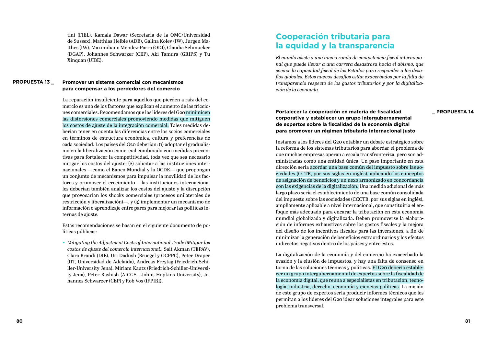tini (FIEL), Kamala Dawar (Secretaría de la OMC/Universidad de Sussex), Matthias Helble (ADB), Galina Kolev (IW), Jurgen Matthes (IW), Maximiliano Mendez-Parra (ODI), Claudia Schmucker (DGAP), Johannes Schwarzer (CEP), Aki Tamura (GRIPS) y Tu Xinquan (UIBE).

#### **Promover un sistema comercial con mecanismos para compensar a los perdedores del comercio PROPUESTA 13 \_**

La reparación insuficiente para aquellos que pierden a raíz del comercio es uno de los factores que explican el aumento de las fricciones comerciales. Recomendamos que los líderes del G20 minimicen las distorsiones comerciales promoviendo medidas que mitiguen los costos de ajuste de la integración comercial. Tales medidas deberían tener en cuenta las diferencias entre los socios comerciales en términos de estructura económica, cultura y preferencias de cada sociedad. Los países del G20 deberían: (1) adoptar el gradualismo en la liberalización comercial combinado con medidas preventivas para fortalecer la competitividad, toda vez que sea necesario mitigar los costos del ajuste; (2) solicitar a las instituciones internacionales —como el Banco Mundial y la OCDE— que propongan un conjunto de mecanismos para impulsar la movilidad de los factores y promover el crecimiento —las instituciones internacionales deberían también analizar los costos del ajuste y la disrupción que provocarían los shocks comerciales (procesos unilaterales de restricción y liberalización)—, y (3) implementar un mecanismo de información o aprendizaje entre pares para mejorar las políticas internas de ajuste.

Estas recomendaciones se basan en el siguiente documento de políticas públicas:

**•** *Mitigating the Adjustment Costs of International Trade (Mitigar los costos de ajuste del comercio internacional).* Sait Akman (TEPAV), Clara Brandi (DIE), Uri Dadush (Bruegel y OCPPC), Peter Draper (IIT, Universidad de Adelaida), Andreas Freytag (Friedrich-Schiller-University Jena), Miriam Kautz (Friedrich-Schiller-University Jena), Peter Rashish (AICGS - Johns Hopkins University), Johannes Schwarzer (CEP) y Rob Vos (IFPIRI).

# **Cooperación tributaria para la equidad y la transparencia**

*El mundo asiste a una nueva ronda de competencia fiscal internacional que puede llevar a una carrera desastrosa hacia el abismo, que socave la capacidad fiscal de los Estados para responder a los desafíos globales. Estos nuevos desafíos están exacerbados por la falta de transparencia respecto de los gastos tributarios y por la digitalización de la economía.* 

# **Fortalecer la cooperación en materia de fiscalidad corporativa y establecer un grupo intergubernamental de expertos sobre la fiscalidad de la economía digital para promover un régimen tributario internacional justo**

Instamos a los líderes del G20 entablar un debate estratégico sobre la reforma de los sistemas tributarios para abordar el problema de que muchas empresas operan a escala transfronteriza, pero son administradas como una entidad única. Un paso importante en esta dirección sería acordar una base común del impuesto sobre las sociedades (CCTB, por sus siglas en inglés), aplicando los conceptos de asignación de beneficios y un nexo armonizado en concordancia con las exigencias de la digitalización. Una medida adicional de más largo plazo sería el establecimiento de una base común consolidada del impuesto sobre las sociedades (CCCTB, por sus siglas en inglés), ampliamente aplicable a nivel internacional, que constituiría el enfoque más adecuado para encarar la tributación en esta economía mundial globalizada y digitalizada. Deben promoverse la elaboración de informes exhaustivos sobre los gastos fiscales y la mejora del diseño de los incentivos fiscales para las inversiones, a fin de minimizar la generación de beneficios extraordinarios y los efectos indirectos negativos dentro de los países y entre estos.

La digitalización de la economía y del comercio ha exacerbado la evasión y la elusión de impuestos, y hay una falta de consenso en torno de las soluciones técnicas y políticas. El G20 debería establecer un grupo intergubernamental de expertos sobre la fiscalidad de la economía digital, que reúna a especialistas en tributación, tecnología, industria, derecho, economía y ciencias políticas. La misión de este grupo de expertos sería producir informes técnicos que les permitan a los líderes del G20 idear soluciones integrales para este problema transversal.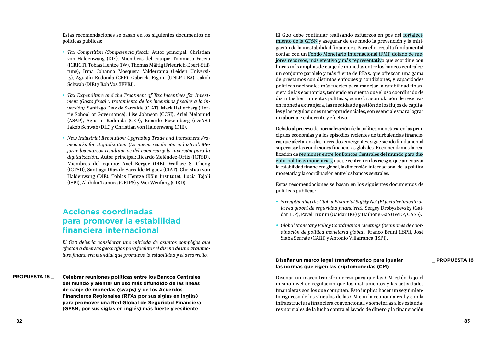Estas recomendaciones se basan en los siguientes documentos de políticas públicas:

- **•** *Tax Competition (Competencia fiscal).* Autor principal: Christian von Haldenwang (DIE). Miembros del equipo: Tommaso Faccio (ICRICT), Tobias Hentze (IW), Thomas Mättig (Friedrich-Ebert-Stiftung), Irma Johanna Mosquera Valderrama (Leiden University), Agustín Redonda (CEP), Gabriela Rigoni (UNLP-UBA), Jakob Schwab (DIE) y Rob Vos (IFPRI).
- **•** *Tax Expenditure and the Treatment of Tax Incentives for Investment (Gasto fiscal y tratamiento de los incentivos fiscales a la inversión).* Santiago Díaz de Sarralde (CIAT), Mark Hallerberg (Hertie School of Governance), Lise Johnson (CCSI), Ariel Melamud (ASAP), Agustin Redonda (CEP), Ricardo Rozemberg (iDeAS,) Jakob Schwab (DIE) y Christian von Haldenwang (DIE).
- **•** *New Industrial Revolution: Upgrading Trade and Investment Frameworks for Digitalization (La nueva revolución industrial: Mejorar los marcos regulatorios del comercio y la inversión para la digitalización).* Autor principal: Ricardo Meléndez-Ortiz (ICTSD). Miembros del equipo: Axel Berger (DIE), Wallace S. Cheng (ICTSD), Santiago Díaz de Sarralde Miguez (CIAT), Christian von Haldenwang (DIE), Tobias Hentze (Köln Institute), Lucia Tajoli (ISPI), Akihiko Tamura (GRIPS) y Wei Wenfang (CIRD).

# **Acciones coordinadas para promover la estabilidad financiera internacional**

*El G20 debería considerar una miríada de asuntos complejos que afectan a diversas geografías para facilitar el diseño de una arquitectura financiera mundial que promueva la estabilidad y el desarrollo.*

**Celebrar reuniones políticas entre los Bancos Centrales del mundo y alentar un uso más difundido de las líneas de canje de monedas (swaps) y de los Acuerdos Financieros Regionales (RFAs por sus siglas en inglés) para promover una Red Global de Seguridad Financiera (GFSN, por sus siglas en inglés) más fuerte y resiliente PROPUESTA 15 \_**

El G20 debe continuar realizando esfuerzos en pos del fortalecimiento de la GFSN y asegurar de ese modo la prevención y la mitigación de la inestabilidad financiera. Para ello, resulta fundamental contar con un Fondo Monetario Internacional (FMI) dotado de mejores recursos, más efectivo y más representativo que coordine con líneas más amplias de canje de monedas entre los bancos centrales; un conjunto paralelo y más fuerte de RFAs, que ofrezcan una gama de préstamos con distintos enfoques y condiciones; y capacidades políticas nacionales más fuertes para manejar la estabilidad financiera de las economías, teniendo en cuenta que el uso coordinado de distintas herramientas políticas, como la acumulación de reservas en moneda extranjera, las medidas de gestión de los flujos de capitales y las regulaciones macroprudenciales, son esenciales para lograr un abordaje coherente y efectivo.

Debido al proceso de normalización de la política monetaria en las principales economías y a los episodios recientes de turbulencias financieras que afectaron a los mercados emergentes, sigue siendo fundamental supervisar las condiciones financieras globales. Recomendamos la realización de reuniones entre los Bancos Centrales del mundo para discutir políticas monetarias, que se centren en los riesgos que amenazan la estabilidad financiera global, la dimensión internacional de la política monetaria y la coordinación entre los bancos centrales.

Estas recomendaciones se basan en los siguientes documentos de políticas públicas:

- **•** *Strengthening the Global Financial Safety Net (El fortalecimiento de la red global de seguridad financiera).* Sergey Drobyshevsky (Gaidar IEP), Pavel Trunin (Gaidar IEP) y Haihong Gao (IWEP, CASS).
- **•** *Global Monetary Policy Coordination Meetings (Reuniones de coordinación de política monetaria global).* Franco Bruni (ISPI), José Siaba Serrate (CARI) y Antonio Villafranca (ISPI).

# **Diseñar un marco legal transfronterizo para igualar las normas que rigen las criptomonedas (CM)**

**\_ PROPUESTA 16**

Diseñar un marco transfronterizo para que las CM estén bajo el mismo nivel de regulación que los instrumentos y las actividades financieras con los que compiten. Esto implica hacer un seguimiento riguroso de los vínculos de las CM con la economía real y con la infraestructura financiera convencional, y someterlas a los estándares normales de la lucha contra el lavado de dinero y la financiación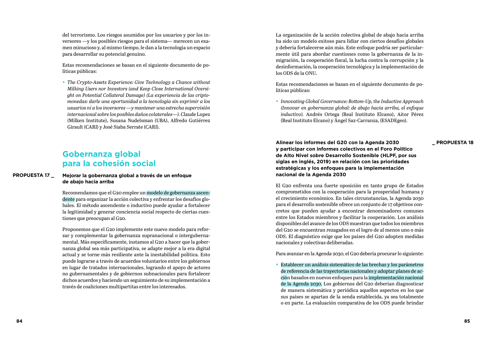del terrorismo. Los riesgos asumidos por los usuarios y por los inversores —y los posibles riesgos para el sistema— merecen un examen minucioso y, al mismo tiempo, le dan a la tecnología un espacio para desarrollar su potencial genuino.

Estas recomendaciones se basan en el siguiente documento de políticas públicas:

**•** *The Crypto-Assets Experience: Give Technology a Chance without Milking Users nor Investors (and Keep Close International Oversight on Potential Collateral Damage) (La experiencia de las criptomonedas: darle una oportunidad a la tecnología sin exprimir a los usuarios ni a los inversores —y mantener una estrecha supervisión internacional sobre los posibles daños colaterales—).* Claude Lopez (Milken Institute), Susana Nudelsman (UBA), Alfredo Gutiérrez Girault (CARI) y José Siaba Serrate (CARI).

# **Gobernanza global para la cohesión social**

#### **Mejorar la gobernanza global a través de un enfoque de abajo hacia arriba PROPUESTA 17 \_**

Recomendamos que el G20 emplee un modelo de gobernanza ascendente para organizar la acción colectiva y enfrentar los desafíos globales. El método ascendente o inductivo puede ayudar a fortalecer la legitimidad y generar conciencia social respecto de ciertas cuestiones que preocupan al G20.

Proponemos que el G20 implemente este nuevo modelo para reforzar y complementar la gobernanza supranacional o intergubernamental. Más específicamente, instamos al G20 a hacer que la gobernanza global sea más participativa, se adapte mejor a la era digital actual y se torne más resiliente ante la inestabilidad política. Esto puede lograrse a través de acuerdos voluntarios entre los gobiernos en lugar de tratados internacionales, logrando el apoyo de actores no gubernamentales y de gobiernos subnacionales para fortalecer dichos acuerdos y haciendo un seguimiento de su implementación a través de coaliciones multipartitas entre los interesados.

La organización de la acción colectiva global de abajo hacia arriba ha sido un modelo exitoso para lidiar con ciertos desafíos globales y debería fortalecerse aún más. Este enfoque podría ser particularmente útil para abordar cuestiones como la gobernanza de la inmigración, la cooperación fiscal, la lucha contra la corrupción y la desinformación, la cooperación tecnológica y la implementación de los ODS de la ONU.

Estas recomendaciones se basan en el siguiente documento de políticas públicas:

**•** *Innovating Global Governance: Bottom-Up, the Inductive Approach (Innovar en gobernanza global: de abajo hacia arriba, el enfoque inductivo).* Andrés Ortega (Real Instituto Elcano), Aitor Pérez (Real Instituto Elcano) y Ángel Saz-Carranza, (ESADEgeo).

**Alinear los informes del G20 con la Agenda 2030 y participar con informes colectivos en el Foro Político de Alto Nivel sobre Desarrollo Sostenible (HLPF, por sus siglas en inglés, 2019) en relación con las prioridades estratégicas y los enfoques para la implementación nacional de la Agenda 2030**

El G20 enfrenta una fuerte oposición en tanto grupo de Estados comprometidos con la cooperación para la prosperidad humana y el crecimiento económico. En tales circunstancias, la Agenda 2030 para el desarrollo sostenible ofrece un conjunto de 17 objetivos concretos que pueden ayudar a encontrar denominadores comunes entre los Estados miembros y facilitar la cooperación. Los análisis disponibles del avance de los ODS muestran que todos los miembros del G20 se encuentran rezagados en el logro de al menos uno o más ODS. El diagnóstico exige que los países del G20 adopten medidas nacionales y colectivas deliberadas.

Para avanzar en la Agenda 2030, el G20 debería procurar lo siguiente:

**•** Establecer un análisis sistemático de las brechas y los parámetros de referencia de las trayectorias nacionales y adoptar planes de acción basados en nuevos enfoques para la implementación nacional de la Agenda 2030. Los gobiernos del G20 deberían diagnosticar de manera sistemática y periódica aquellos aspectos en los que sus países se apartan de la senda establecida, ya sea totalmente o en parte. La evaluación comparativa de los ODS puede brindar **\_ PROPUESTA 18**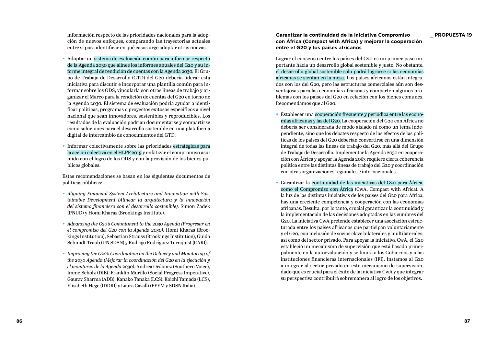información respecto de las prioridades nacionales para la adopción de nuevos enfoques, comparando las trayectorias actuales entre sí para identificar en qué casos urge adoptar otras nuevas.

- **•** Adoptar un sistema de evaluación común para informar respecto de la Agenda 2030 que alinee los informes anuales del G20 y su informe integral de rendición de cuentas con la Agenda 2030. El Grupo de Trabajo de Desarrollo (GTD) del G20 debería liderar esta iniciativa para discutir e incorporar una plantilla común para informar sobre los ODS, vincularla con otras líneas de trabajo y organizar el Marco para la rendición de cuentas del G20 en torno de la Agenda 2030. El sistema de evaluación podría ayudar a identificar políticas, programas o proyectos exitosos específicos a nivel nacional que sean innovadores, sostenibles y reproducibles. Los resultados de la evaluación podrían documentarse y compartirse como soluciones para el desarrollo sostenible en una plataforma digital de intercambio de conocimientos del GTD.
- **•** Informar colectivamente sobre las prioridades estratégicas para la acción colectiva en el HLPF 2019 y enfatizar el compromiso asumido con el logro de los ODS y con la provisión de los bienes públicos globales.

Estas recomendaciones se basan en los siguientes documentos de políticas públicas:

- **•** *Aligning Financial System Architecture and Innovation with Sustainable Development (Alinear la arquitectura y la innovación del sistema financiero con el desarrollo sostenible).* Simon Zadek (PNUD) y Homi Kharas (Brookings Institute).
- **•** *Advancing the G20's Commitment to the 2030 Agenda (Progresar en el compromiso del G20 con la Agenda 2030).* Homi Kharas (Brookings Institution), Sebastian Strauss (Brookings Institution), Guido Schmidt-Traub (UN SDSN) y Rodrigo Rodríguez Tornquist (CARI).
- **•** *Improving the G20's Coordination on the Delivery and Monitoring of the 2030 Agenda (Mejorar la coordinación del G20 en la ejecución y el monitoreo de la Agenda 2030).* Andrea Ordóñez (Southern Voice), Imme Scholz (DIE), Franklin Murillo (Social Progress Imperative), Gaurav Sharma (ADB), Kanako Tanaka (LCS), Koichi Yamada (LCS), Elisabeth Hege (IDDRI) y Laura Cavalli (FEEM y SDSN Italia).

### **Garantizar la continuidad de la iniciativa Compromiso con África (Compact with Africa) y mejorar la cooperación entre el G20 y los países africanos**

Lograr el consenso entre los países del G20 es un primer paso importante hacia un desarrollo global sostenible y justo. No obstante, el desarrollo global sostenible solo podrá lograrse si las economías africanas se sientan en la mesa. Los países africanos están integrados con los del G20, pero las estructuras comerciales aún son desventajosas para las economías africanas y comparten algunos problemas con los países del G20 en relación con los bienes comunes. Recomendamos que al G20:

- **•** Establecer una cooperación frecuente y periódica entre las economías africanas y las del G20. La cooperación del G20 con África no debería ser considerada de modo aislado ni como un tema independiente, sino que los debates respecto de los efectos de las políticas de los países del G20 deberían convertirse en una dimensión integral de todas las líneas de trabajo del G20, más allá del Grupo de Trabajo de Desarrollo. Implementar la Agenda 2030 en cooperación con África y apoyar la Agenda 2063 requiere cierta coherencia política entre las distintas líneas de trabajo del G20 y coordinación con otras organizaciones regionales e internacionales.
- **•** Garantizar la continuidad de las iniciativas del G20 para África, como el Compromiso con África (CwA, Compact with Africa). A la luz de las distintas iniciativas de los países del G20 para África, hay una creciente competencia y cooperación con las economías africanas. Resulta, por lo tanto, crucial garantizar la continuidad y la implementación de las decisiones adoptadas en las cumbres del G20. La iniciativa CwA pretende establecer una asociación estructurada entre los países africanos que participan voluntariamente y el G20, con inclusión de socios clave bilaterales y multilaterales, así como del sector privado. Para apoyar la iniciativa CwA, el G20 estableció un mecanismo de supervisión que está basado principalmente en la autoevaluación y se limita a los Gobiernos y a las instituciones financieras internacionales (IFI). Instamos al G20 a integrar al sector privado en este mecanismo de supervisión, dado que es crucial para el éxito de la iniciativa CwA y que integrar su perspectiva contribuirá sobremanera al logro de los objetivos.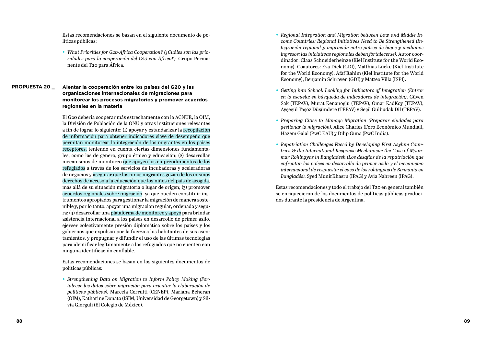Estas recomendaciones se basan en el siguiente documento de po líticas públicas:

**•** *What Priorities for G20-Africa Cooperation? (¿Cuáles son las prio ridades para la cooperación del G20 con África?).* Grupo Perma nente del T20 para África.

#### **Alentar la cooperación entre los países del G20 y las organizaciones internacionales de migraciones para monitorear los procesos migratorios y promover acuerdos regionales en la materia PROPUESTA 20 \_**

El G20 debería cooperar más estrechamente con la ACNUR, la OIM, la División de Población de la ONU y otras instituciones relevantes a fin de lograr lo siguiente: (1) apoyar y estandarizar la recopilación de información para obtener indicadores clave de desempeño que permitan monitorear la integración de los migrantes en los países receptores, teniendo en cuenta ciertas dimensiones fundamenta les, como las de género, grupo étnico y educación; (2) desarrollar mecanismos de monitoreo que apoyen los emprendimientos de los refugiados a través de los servicios de incubadoras y aceleradoras de negocios y asegurar que los niños migrantes gozan de los mismos derechos de acceso a la educación que los niños del país de acogida, más allá de su situación migratoria o lugar de origen; (3) promover acuerdos regionales sobre migración, ya que pueden constituir ins trumentos apropiados para gestionar la migración de manera soste nible y, por lo tanto, apoyar una migración regular, ordenada y segu ra; (4) desarrollar una plataforma de monitoreo y apoyo para brindar asistencia internacional a los países en desarrollo de primer asilo, ejercer colectivamente presión diplomática sobre los países y los gobiernos que expulsan por la fuerza a los habitantes de sus asen tamientos, y propugnar y difundir el uso de las últimas tecnologías para identificar legítimamente a los refugiados que no cuenten con ninguna identificación confiable.

Estas recomendaciones se basan en los siguientes documentos de políticas públicas:

**•** *Strengthening Data on Migration to Inform Policy Making (For talecer los datos sobre migración para orientar la elaboración de políticas públicas).* Marcela Cerrutti (CENEP), Mariana Beheran (OIM), Katharine Donato (ISIM, Universidad de Georgetown) y Sil via Giorguli (El Colegio de México).

- **•** *Regional Integration and Migration between Low and Middle In come Countries: Regional Initiatives Need to Be Strengthened (In tegración regional y migración entre países de bajos y medianos ingresos: las iniciativas regionales deben fortalecerse).* Autor coor dinador: Claas Schneiderheinze (Kiel Institute for the World Eco nomy). Coautores: Eva Dick (GDI), Matthias Lücke (Kiel Institute for the World Economy), Afaf Rahim (Kiel Institute for the World Economy), Benjamin Schraven (GDI) y Matteo Villa (ISPI).
- **•** *Getting into School: Looking for Indicators of Integration (Entrar en la escuela: en búsqueda de indicadores de integración)*. Güven Sak (TEPAV), Murat Kenanoglu (TEPAV), Omar KadKoy (TEPAV), Ayşegül Taşöz Düşündere (TEPAV) y Seçil Gülbudak Dil (TEPAV).
- **•** *Preparing Cities to Manage Migration (Preparar ciudades para gestionar la migración).* Alice Charles (Foro Económico Mundial), Hazem Galal (PwC EAU) y Dilip Guna (PwC India).
- **•** *Repatriation Challenges Faced by Developing First Asylum Coun tries & the International Response Mechanism: the Case of Myan mar Rohingyas in Bangladesh (Los desafíos de la repatriación que enfrentan los países en desarrollo de primer asilo y el mecanismo internacional de respuesta: el caso de los rohingyas de Birmania en Bangladés).* Syed MunirKhasru (IPAG) y Avia Nahreen (IPAG).

Estas recomendaciones y todo el trabajo del T20 en general también se enriquecieron de los documentos de políticas públicas produci dos durante la presidencia de Argentina.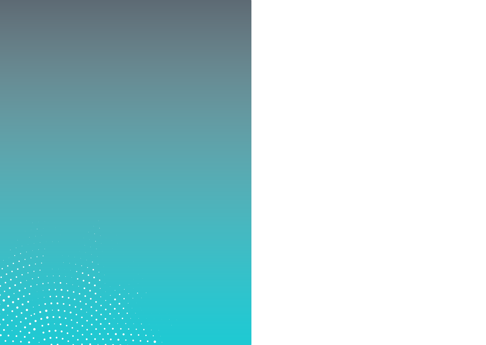